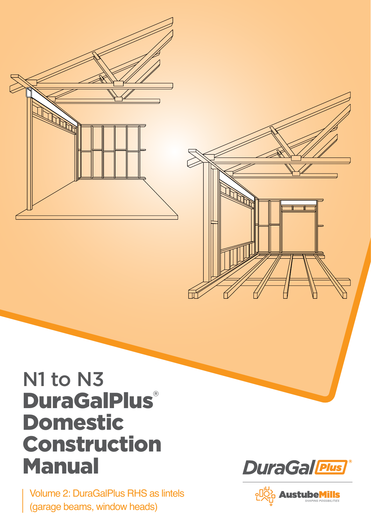



# N1 to N3 DuraGalPlus® Domestic Construction Manual

Volume 2: DuraGalPlus RHS as lintels (garage beams, window heads)



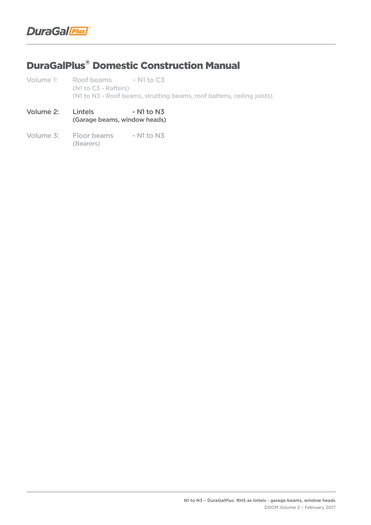## DuraGalPlus® Domestic Construction Manual

- Volume 1: Roof beams N1 to C3 (N1 to C3 - Rafters) (N1 to N3 - Roof beams, strutting beams, roof battens, ceiling joists)
- Volume 2: Lintels N1 to N3 (Garage beams, window heads)
- Volume 3: Floor beams N1 to N3 (Bearers)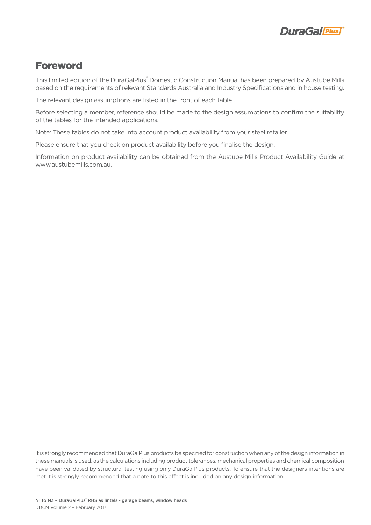

### Foreword

This limited edition of the DuraGalPlus<sup>®</sup> Domestic Construction Manual has been prepared by Austube Mills based on the requirements of relevant Standards Australia and Industry Specifications and in house testing.

The relevant design assumptions are listed in the front of each table.

Before selecting a member, reference should be made to the design assumptions to confirm the suitability of the tables for the intended applications.

Note: These tables do not take into account product availability from your steel retailer.

Please ensure that you check on product availability before you finalise the design.

Information on product availability can be obtained from the Austube Mills Product Availability Guide at www.austubemills.com.au.

It is strongly recommended that DuraGalPlus products be specified for construction when any of the design information in these manuals is used, as the calculations including product tolerances, mechanical properties and chemical composition have been validated by structural testing using only DuraGalPlus products. To ensure that the designers intentions are met it is strongly recommended that a note to this effect is included on any design information.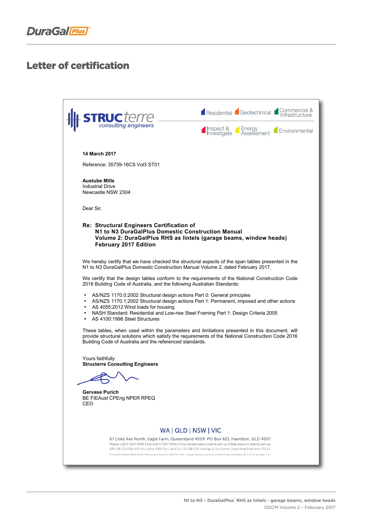### Letter of certification

| Çommercial &<br>Residential Geotechnical<br>ntrastructure<br><b>RUCTETTE</b><br>consulting engineers<br>Inspect &<br>Investigate<br>Energy<br>Assessment<br>Environmental                                                                                                                                                                                                                                                                                                |  |  |  |  |  |  |  |  |  |
|--------------------------------------------------------------------------------------------------------------------------------------------------------------------------------------------------------------------------------------------------------------------------------------------------------------------------------------------------------------------------------------------------------------------------------------------------------------------------|--|--|--|--|--|--|--|--|--|
| <b>14 March 2017</b>                                                                                                                                                                                                                                                                                                                                                                                                                                                     |  |  |  |  |  |  |  |  |  |
| Reference: 35739-16CS Vol3 ST01                                                                                                                                                                                                                                                                                                                                                                                                                                          |  |  |  |  |  |  |  |  |  |
| <b>Austube Mills</b><br><b>Industrial Drive</b><br>Newcastle NSW 2304                                                                                                                                                                                                                                                                                                                                                                                                    |  |  |  |  |  |  |  |  |  |
| Dear Sir,                                                                                                                                                                                                                                                                                                                                                                                                                                                                |  |  |  |  |  |  |  |  |  |
| Re: Structural Engineers Certification of<br>N1 to N3 DuraGalPlus Domestic Construction Manual<br>Volume 2: DuraGalPlus RHS as lintels (garage beams, window heads)<br><b>February 2017 Edition</b>                                                                                                                                                                                                                                                                      |  |  |  |  |  |  |  |  |  |
| We hereby certify that we have checked the structural aspects of the span tables presented in the<br>N1 to N3 DuraGalPlus Domestic Construction Manual Volume 2, dated February 2017.                                                                                                                                                                                                                                                                                    |  |  |  |  |  |  |  |  |  |
| We certify that the design tables conform to the requirements of the National Construction Code<br>2016 Building Code of Australia, and the following Australian Standards:                                                                                                                                                                                                                                                                                              |  |  |  |  |  |  |  |  |  |
| AS/NZS 1170.0:2002 Structural design actions Part 0: General principles<br>$\bullet$<br>AS/NZS 1170.1:2002 Structural design actions Part 1: Permanent, imposed and other actions<br>٠<br>AS 4055:2012 Wind loads for housing<br>$\bullet$<br>NASH Standard: Residential and Low-rise Steel Framing Part 1: Design Criteria 2005<br>$\bullet$<br>AS 4100:1998 Steel Structures<br>٠                                                                                      |  |  |  |  |  |  |  |  |  |
| These tables, when used within the parameters and limitations presented in this document, will<br>provide structural solutions which satisfy the requirements of the National Construction Code 2016<br>Building Code of Australia and the referenced standards.                                                                                                                                                                                                         |  |  |  |  |  |  |  |  |  |
| Yours faithfully<br><b>Structerre Consulting Engineers</b><br>$\overline{\mathbf{a}}$<br>$\sqrt{}$                                                                                                                                                                                                                                                                                                                                                                       |  |  |  |  |  |  |  |  |  |
| <b>Gervase Purich</b><br>BE FIEAust CPEng NPER RPEQ<br>CEO                                                                                                                                                                                                                                                                                                                                                                                                               |  |  |  |  |  |  |  |  |  |
| WA   QLD   NSW   VIC                                                                                                                                                                                                                                                                                                                                                                                                                                                     |  |  |  |  |  |  |  |  |  |
| 67 Links Ave North, Eagle Farm, Queensland 4009 PO Box 621, Hamilton, QLD 4007<br>Phone (+617) 3307 8300   Fax (+617) 3307 8301   Email brisbane@structerre.com.au   Web www.structerre.com.au<br>ABN 99 115 038 429 Structerre WBA Pty Ltd ACN 115 038 429 trading as Structerre Consulting Engineers (QLD)<br>R:\Jobs\2014\35000-35999\35739-14\Drawings & Docs\Vol 2\357339-16CS - Duragal Domectic Construction Manual Vol4 Certification 2017.03.15.docxPage 1 of 1 |  |  |  |  |  |  |  |  |  |
|                                                                                                                                                                                                                                                                                                                                                                                                                                                                          |  |  |  |  |  |  |  |  |  |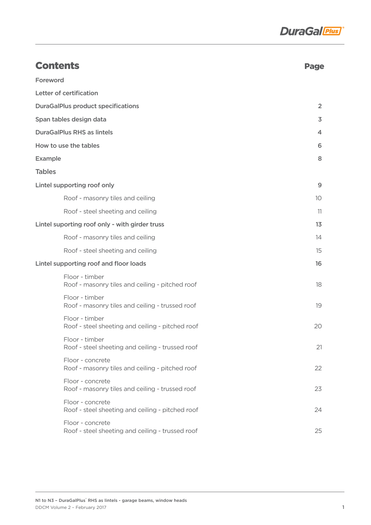| <b>Contents</b>                                                      | <b>Page</b>    |
|----------------------------------------------------------------------|----------------|
| Foreword                                                             |                |
| Letter of certification                                              |                |
| <b>DuraGalPlus product specifications</b>                            | 2              |
| Span tables design data                                              | 3              |
| DuraGalPlus RHS as lintels                                           | 4              |
| How to use the tables                                                | 6              |
| Example                                                              | 8              |
| <b>Tables</b>                                                        |                |
| Lintel supporting roof only                                          | 9              |
| Roof - masonry tiles and ceiling                                     | 10             |
| Roof - steel sheeting and ceiling                                    | 11             |
| Lintel suporting roof only - with girder truss                       | 1 <sub>3</sub> |
| Roof - masonry tiles and ceiling                                     | 14             |
| Roof - steel sheeting and ceiling                                    | 15             |
| Lintel supporting roof and floor loads                               | 16             |
| Floor - timber<br>Roof - masonry tiles and ceiling - pitched roof    | 18             |
| Floor - timber<br>Roof - masonry tiles and ceiling - trussed roof    | 19             |
| Floor - timber<br>Roof - steel sheeting and ceiling - pitched roof   | 20             |
| Floor - timber<br>Roof - steel sheeting and ceiling - trussed roof   | 21             |
| Floor - concrete<br>Roof - masonry tiles and ceiling - pitched roof  | 22             |
| Floor - concrete<br>Roof - masonry tiles and ceiling - trussed roof  | 23             |
| Floor - concrete<br>Roof - steel sheeting and ceiling - pitched roof | 24             |
| Floor - concrete<br>Roof - steel sheeting and ceiling - trussed roof | 25             |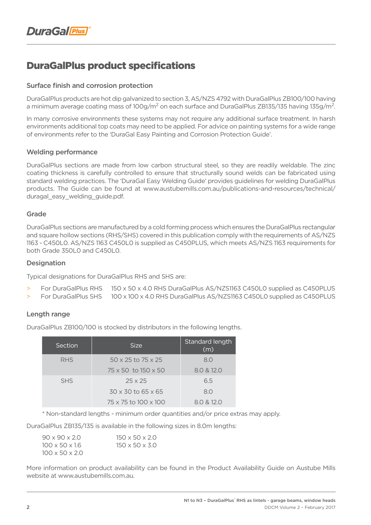### DuraGalPlus product specifications

#### Surface finish and corrosion protection

DuraGalPlus products are hot dip galvanized to section 3, AS/NZS 4792 with DuraGalPlus ZB100/100 having a minimum average coating mass of 100g/m $^2$  on each surface and DuraGalPlus ZB135/135 having 135g/m $^2$ .

In many corrosive environments these systems may not require any additional surface treatment. In harsh environments additional top coats may need to be applied. For advice on painting systems for a wide range of environments refer to the 'DuraGal Easy Painting and Corrosion Protection Guide'.

#### Welding performance

DuraGalPlus sections are made from low carbon structural steel, so they are readily weldable. The zinc coating thickness is carefully controlled to ensure that structurally sound welds can be fabricated using standard welding practices. The 'DuraGal Easy Welding Guide' provides guidelines for welding DuraGalPlus products. The Guide can be found at www.austubemills.com.au/publications-and-resources/technical/ duragal\_easy\_welding\_guide.pdf.

#### Grade

DuraGalPlus sections are manufactured by a cold forming process which ensures the DuraGalPlus rectangular and square hollow sections (RHS/SHS) covered in this publication comply with the requirements of AS/NZS 1163 - C450L0. AS/NZS 1163 C450L0 is supplied as C450PLUS, which meets AS/NZS 1163 requirements for both Grade  $350L0$  and  $C450L0$ .

#### **Designation**

Typical designations for DuraGalPlus RHS and SHS are:

- > For DuraGalPlus RHS 150 x 50 x 4.0 RHS DuraGalPlus AS/NZS1163 C450L0 supplied as C450PLUS
- For DuraGalPlus SHS 100 x 100 x 4.0 RHS DuraGalPlus AS/NZS1163 C450L0 supplied as C450PLUS

#### Length range

DuraGalPlus ZB100/100 is stocked by distributors in the following lengths.

| Section    | <b>Size</b>                      | Standard length<br>(m) |
|------------|----------------------------------|------------------------|
| <b>RHS</b> | $50 \times 25$ to $75 \times 25$ | 8.0                    |
|            | 75 x 50 to 150 x 50              | 8.0 & 12.0             |
| <b>SHS</b> | $25 \times 25$                   | 6.5                    |
|            | $30 \times 30$ to 65 $\times$ 65 | 8.0                    |
|            | 75 x 75 to 100 x 100             | 8.0 & 12.0             |

\* Non-standard lengths - minimum order quantities and/or price extras may apply.

DuraGalPlus ZB135/135 is available in the following sizes in 8.0m lengths:

| $90 \times 90 \times 20$   | $150 \times 50 \times 20$ |
|----------------------------|---------------------------|
| $100 \times 50 \times 16$  | $150 \times 50 \times 30$ |
| $100 \times 50 \times 2.0$ |                           |

More information on product availability can be found in the Product Availability Guide on Austube Mills website at www.austubemills.com.au.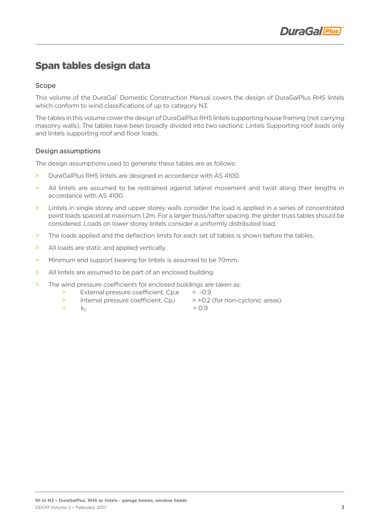

### Span tables design data

#### Scope

This volume of the DuraGal® Domestic Construction Manual covers the design of DuraGalPlus RHS lintels which conform to wind classifications of up to category N3.

The tables in this volume cover the design of DuraGalPlus RHS lintels supporting house framing (not carrying masonry walls). The tables have been broadly divided into two sections: Lintels Supporting roof loads only and lintels supporting roof and floor loads.

#### Design assumptions

The design assumptions used to generate these tables are as follows:

- > DuraGalPlus RHS lintels are designed in accordance with AS 4100.
- > All lintels are assumed to be restrained against lateral movement and twist along their lengths in accordance with AS 4100.
- > Lintels in single storey and upper storey walls consider the load is applied in a series of concentrated point loads spaced at maximum 1.2m. For a larger truss/rafter spacing, the girder truss tables should be considered. Loads on lower storey lintels consider a uniformly distributed load.
- > The loads applied and the deflection limits for each set of tables is shown before the tables.
- > All loads are static and applied vertically.
- > Minimum end support bearing for lintels is assumed to be 70mm.
- > All lintels are assumed to be part of an enclosed building.
- > The wind pressure coefficients for enclosed buildings are taken as:
	- > External pressure coefficient, Cp,e = -0.9
	- $>$  Internal pressure coefficient, Cp,i  $= +0.2$  (for non-cyclonic areas)
	- $\frac{1}{2}$  k<sub>c</sub> = 0.9
- 

N1 to N3 - DuraGalPlus<sup>®</sup> RHS as lintels - garage beams, window heads DDCM Volume 2 – February 2017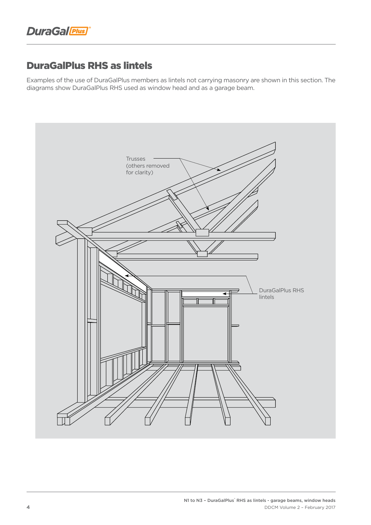### DuraGalPlus RHS as lintels

Examples of the use of DuraGalPlus members as lintels not carrying masonry are shown in this section. The diagrams show DuraGalPlus RHS used as window head and as a garage beam.

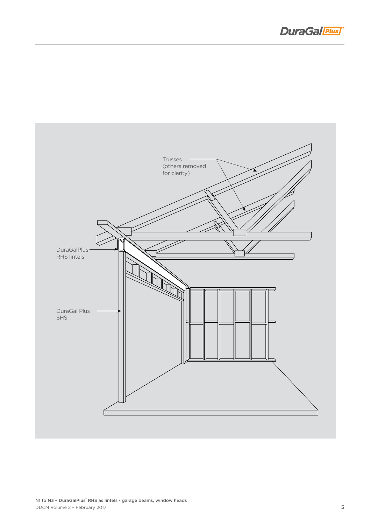

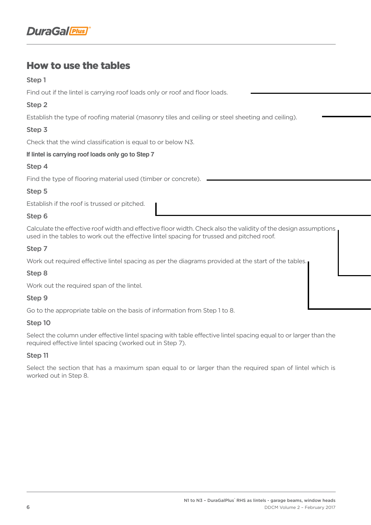### How to use the tables

#### Step 1

Find out if the lintel is carrying roof loads only or roof and floor loads.

#### Step 2

Establish the type of roofing material (masonry tiles and ceiling or steel sheeting and ceiling).

#### Step 3

Check that the wind classification is equal to or below N3.

#### **If lintel is carrying roof loads only go to Step 7**

#### Step 4

Find the type of flooring material used (timber or concrete).

#### Step 5

Establish if the roof is trussed or pitched.

#### Step 6

Calculate the effective roof width and effective floor width. Check also the validity of the design assumptions used in the tables to work out the effective lintel spacing for trussed and pitched roof.

#### Step 7

Work out required effective lintel spacing as per the diagrams provided at the start of the tables.

#### Step 8

Work out the required span of the lintel.

#### Step 9

Go to the appropriate table on the basis of information from Step 1 to 8.

#### Step 10

Select the column under effective lintel spacing with table effective lintel spacing equal to or larger than the required effective lintel spacing (worked out in Step 7).

#### Step 11

Select the section that has a maximum span equal to or larger than the required span of lintel which is worked out in Step 8.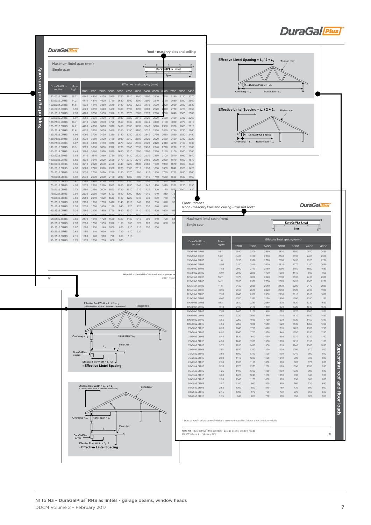#### (*G*) (*Q* = 1.1kN) Masonry tiles and ceiling 0.9 Larger of 0.25 IFSI ISD to to

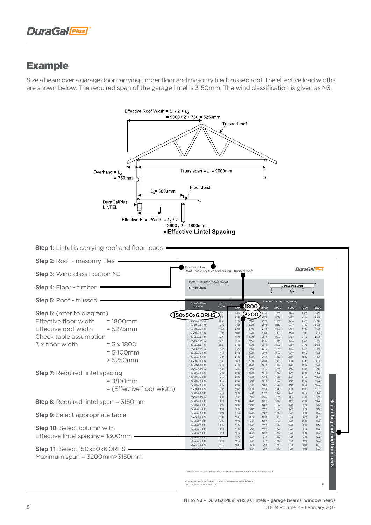

### Example

Size a beam over a garage door carrying timber floor and masonry tiled trussed roof. The effective load widths are shown below. The required span of the garage lintel is 3150mm. The wind classification is given as N3.



**Step 1**: Lintel is carrying roof and floor loads

| <b>Step 2: Roof - masonry tiles</b>     |                           |                                                                                                                  |              |              |              |              |                               |                           |                     |              |
|-----------------------------------------|---------------------------|------------------------------------------------------------------------------------------------------------------|--------------|--------------|--------------|--------------|-------------------------------|---------------------------|---------------------|--------------|
| Step 3: Wind classification N3          |                           | Floor - timber<br>Roof - masonry tiles and ceiling - trussed roof*                                               |              |              |              |              |                               |                           | <b>DuraGal</b> Plus |              |
| Step 4: Floor - timber                  |                           | Maximum lintel span (mm)<br>Single span                                                                          |              |              |              |              |                               | DuraGalPlus Linte<br>Span |                     |              |
| <b>Step 5: Roof - trussed</b>           |                           | <b>DuraGalPlus</b>                                                                                               | Mass         |              |              |              | Effective lintel spacing (mm) |                           |                     |              |
| Step 6: (refer to diagram)              |                           | section                                                                                                          | kg/m<br>167  | 1200<br>3530 | 1800         | 2400<br>2990 | 3000<br>2830                  | 3600<br>2700              | 4200<br>2570        | 4800<br>2460 |
|                                         |                           | 150x50x6.0RHS                                                                                                    | 4.2          | 3430         | 3200         | 2890         | 2740                          | 2590                      | 2460                | 2350         |
| Effective floor width                   | $=1800$ mm                | 150x50x4 0RHS                                                                                                    | 11.6         | 3290         | 2970         | 2770         | 2600                          | 2450                      | 2320                | 2220         |
|                                         |                           | 150x50x3.0RHS                                                                                                    | 8.96         | 3110         | 2820         | 2600         | 2410                          | 2270                      | 2160                | 2060         |
| Effective roof width                    | $= 5275$ mm               | 150x50x2.5RHS                                                                                                    | 7.53         | 2990         | 2710         | 2460         | 2290                          | 2150                      | 1920                | 1680         |
| Check table assumption                  |                           | 150x50x2 0RHS<br>125x75x6.0RHS                                                                                   | 6.07<br>16.7 | 2840<br>3370 | 2270<br>3050 | 1700<br>2840 | 1360<br>2690                  | 1140<br>2530              | 980<br>2410         | 850<br>2300  |
|                                         |                           | 125x75x5.0RHS                                                                                                    | 14.2         | 3260         | 2950         | 2750         | 2570                          | 2420                      | 2300                | 2200         |
| 3 x floor width                         | $= 3 \times 1800$         | 125x75x4.0RHS                                                                                                    | 11.6         | 3120         | 2830         | 2610         | 2430                          | 2290                      | 2170                | 2080         |
|                                         |                           | 125x75x3.0RHS                                                                                                    | 8.96         | 2950         | 2670         | 2420         | 2250                          | 2120                      | 2010                | 1930         |
|                                         | $= 5400$ mm               | 125x75x2.5RHS                                                                                                    | 7.53         | 2840         | 2530         | 2300         | 2130                          | 2010                      | 1910                | 1830         |
|                                         | $> 5250$ mm               | 125x75x2.0RHS<br>100x50x5.0RHS                                                                                   | 6.07<br>10.3 | 2700<br>2610 | 2360<br>2280 | 2150<br>2080 | 1800<br>1930                  | 1500<br>1820              | 1290<br>1730        | 1130<br>1650 |
|                                         |                           | 100x50x4 0RHS                                                                                                    | 8.49         | 2480         | 2170         | 1970         | 1830                          | 1720                      | 1640                | 1570         |
|                                         |                           | 100x50x3.5RHS                                                                                                    | 7.53         | 2400         | 2100         | 1910         | 1770                          | 1670                      | 1580                | 1520         |
| <b>Step 7: Required lintel spacing</b>  |                           | 100x50x3.0RHS                                                                                                    | 6.60         | 2320         | 2030         | 1840         | 1710                          | 1610                      | 1530                | 1460         |
|                                         |                           | 100x50x2.5RHS                                                                                                    | 5.56         | 2200         | 1930         | 1750         | 1630                          | 1530                      | 1450                | 1390         |
|                                         | $=1800$ mm                | 100x50x2.0RHS                                                                                                    | 4.50         | 2060         | 1810         | 1640         | 1520                          | 1430                      | 1360                | 1300         |
|                                         | = (Effective floor width) | 75x50x5.0RHS<br>75x50x4.0RHS                                                                                     | 8.35<br>6.92 | 2040<br>1940 | 1780<br>1700 | 1620<br>1550 | 1510<br>1440                  | 1420<br>1350              | 1350<br>1290        | 1290<br>1230 |
|                                         |                           | 75x50x3.0RHS                                                                                                     | 5.42         | 1830         | 1600         | 1450         | 1350                          | 1270                      | 1210                | 1160         |
|                                         |                           | 75x50x2 5RHS                                                                                                     | 4.58         | 1740         | 1520         | 1380         | 1290                          | 1210                      | 1150                | 1100         |
| Step 8: Required lintel span = 3150mm   |                           | 75x50x2.0RHS                                                                                                     | 3.72         | 1630         | 1430         | 1300         | 1210                          | 1140                      | 1080                | 1030         |
|                                         |                           | 75x50x1 6RHS                                                                                                     | 3.01         | 1530         | 1340         | 1220         | 1130                          | 1050                      | 970                 | 910          |
|                                         |                           | 75x25x2.5RHS                                                                                                     | 3.60         | 1500         | 1310         | 1190         | 1100                          | 1040                      | 990                 | 940          |
| <b>Step 9:</b> Select appropriate table |                           | 75x25x2.0RHS<br>75x25x1.6RHS                                                                                     | 2.93<br>2.38 | 1410<br>1330 | 1230<br>1160 | 1120<br>1050 | 1040<br>980                   | 980<br>920                | 930<br>870          | 890<br>830   |
|                                         |                           | 65x35x4.0RHS                                                                                                     | 5.35         | 1570         | 1370         | 1250         | 1160                          | 1090                      | 1030                | 990          |
|                                         |                           | 65x35x3.0RHS                                                                                                     | 4.25         | 1490         | 1300         | 1180         | 1100                          | 1030                      | 980                 | 940          |
| Step 10: Select column with             |                           | 65x35x2 5RHS                                                                                                     | 3.60         | 1420         | 1240         | 1130         | 1050                          | 990                       | 940                 | 900          |
| Effective lintel spacing= 1800mm        |                           | 65x35x2.0RHS                                                                                                     | 2.93         | 1340         | 1170         | 1060         | 990                           | 930                       | 880                 | 850          |
|                                         |                           | 50x25x2.5RHS                                                                                                     | 2.62         | 1100         | 960<br>920   | 870<br>840   | 810<br>780                    | 760<br>730                | 720<br>690          | 690<br>660   |
|                                         |                           | 50x25x2.0RHS                                                                                                     | 2.15         | 1050<br>1000 | 870          | 790          | 730                           | 690                       | 660                 | 630          |
| Step 11: Select 150x50x6.0RHS           |                           |                                                                                                                  |              |              | 820          | 750          | 690                           | 650                       | 620                 | 590          |
| Maximum span = 3200mm>3150mm            |                           |                                                                                                                  |              |              |              |              |                               |                           |                     |              |
|                                         |                           | * Trussed roof - effective roof width is assumed equal to 3 times effective floor width                          |              |              |              |              |                               |                           |                     |              |
|                                         |                           | N1 to N3 - DuraGalPlus <sup>'</sup> RHS as lintels - garage beams, window heads<br>DDCM Volume 2 - February 2017 |              |              |              |              |                               |                           |                     | 19           |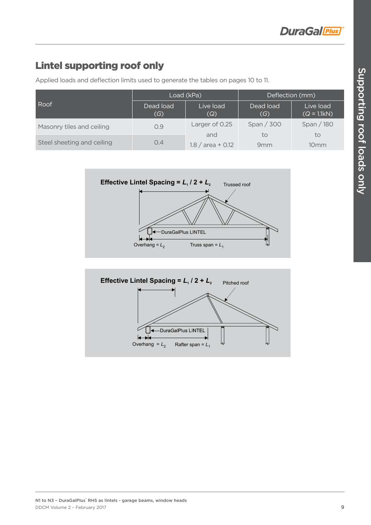

### Lintel supporting roof only

Applied loads and deflection limits used to generate the tables on pages 10 to 11.

|                            |                  | Load (kPa)               | Deflection (mm)       |                            |  |  |
|----------------------------|------------------|--------------------------|-----------------------|----------------------------|--|--|
| Roof                       | Dead load<br>(G) | Live load<br>(Q)         | Dead load<br>(G)      | Live load<br>$(Q = 1.1kN)$ |  |  |
| Masonry tiles and ceiling  | 0.9              | Larger of 0.25           | Span $/300$           | Span / 180                 |  |  |
| Steel sheeting and ceiling | O.4              | and<br>1.8 / area + 0.12 | to<br>9 <sub>mm</sub> | to<br>10 <sub>mm</sub>     |  |  |



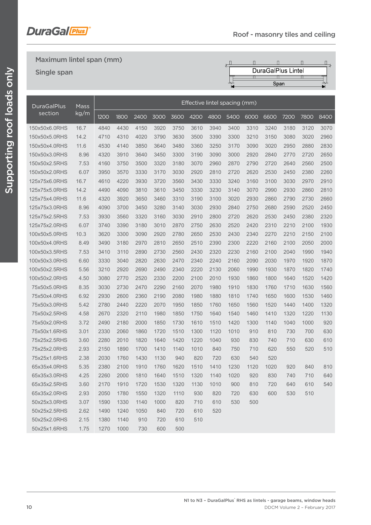

Single span

|  | <b>DuraGalPlus Lintel</b> |  |
|--|---------------------------|--|
|  | Span                      |  |

| <b>DuraGalPlus</b> | Mass | Effective lintel spacing (mm) |      |      |      |      |      |      |      |      |      |      |      |      |
|--------------------|------|-------------------------------|------|------|------|------|------|------|------|------|------|------|------|------|
| section            | kg/m | 1200                          | 1800 | 2400 | 3000 | 3600 | 4200 | 4800 | 5400 | 6000 | 6600 | 7200 | 7800 | 8400 |
| 150x50x6.0RHS      | 16.7 | 4840                          | 4430 | 4150 | 3920 | 3750 | 3610 | 3940 | 3400 | 3310 | 3240 | 3180 | 3120 | 3070 |
| 150x50x5.0RHS      | 14.2 | 4710                          | 4310 | 4020 | 3790 | 3630 | 3500 | 3390 | 3300 | 3210 | 3150 | 3080 | 3020 | 2960 |
| 150x50x4.0RHS      | 11.6 | 4530                          | 4140 | 3850 | 3640 | 3480 | 3360 | 3250 | 3170 | 3090 | 3020 | 2950 | 2880 | 2830 |
| 150x50x3.0RHS      | 8.96 | 4320                          | 3910 | 3640 | 3450 | 3300 | 3190 | 3090 | 3000 | 2920 | 2840 | 2770 | 2720 | 2650 |
| 150x50x2.5RHS      | 7.53 | 4160                          | 3750 | 3500 | 3320 | 3180 | 3070 | 2960 | 2870 | 2790 | 2720 | 2640 | 2560 | 2500 |
| 150x50x2.0RHS      | 6.07 | 3950                          | 3570 | 3330 | 3170 | 3030 | 2920 | 2810 | 2720 | 2620 | 2530 | 2450 | 2380 | 2260 |
| 125x75x6.0RHS      | 16.7 | 4610                          | 4220 | 3930 | 3720 | 3560 | 3430 | 3330 | 3240 | 3160 | 3100 | 3030 | 2970 | 2910 |
| 125x75x5.0RHS      | 14.2 | 4490                          | 4090 | 3810 | 3610 | 3450 | 3330 | 3230 | 3140 | 3070 | 2990 | 2930 | 2860 | 2810 |
| 125x75x4.0RHS      | 11.6 | 4320                          | 3920 | 3650 | 3460 | 3310 | 3190 | 3100 | 3020 | 2930 | 2860 | 2790 | 2730 | 2660 |
| 125x75x3.0RHS      | 8.96 | 4090                          | 3700 | 3450 | 3280 | 3140 | 3030 | 2930 | 2840 | 2750 | 2680 | 2590 | 2520 | 2450 |
| 125x75x2.5RHS      | 7.53 | 3930                          | 3560 | 3320 | 3160 | 3030 | 2910 | 2800 | 2720 | 2620 | 2530 | 2450 | 2380 | 2320 |
| 125x75x2.0RHS      | 6.07 | 3740                          | 3390 | 3180 | 3010 | 2870 | 2750 | 2630 | 2520 | 2420 | 2310 | 2210 | 2100 | 1930 |
| 100x50x5.0RHS      | 10.3 | 3620                          | 3300 | 3090 | 2920 | 2780 | 2650 | 2530 | 2430 | 2340 | 2270 | 2210 | 2150 | 2100 |
| 100x50x4.0RHS      | 8.49 | 3490                          | 3180 | 2970 | 2810 | 2650 | 2510 | 2390 | 2300 | 2220 | 2160 | 2100 | 2050 | 2000 |
| 100x50x3.5RHS      | 7.53 | 3410                          | 3110 | 2890 | 2730 | 2560 | 2430 | 2320 | 2230 | 2160 | 2100 | 2040 | 1990 | 1940 |
| 100x50x3.0RHS      | 6.60 | 3330                          | 3040 | 2820 | 2630 | 2470 | 2340 | 2240 | 2160 | 2090 | 2030 | 1970 | 1920 | 1870 |
| 100x50x2.5RHS      | 5.56 | 3210                          | 2920 | 2690 | 2490 | 2340 | 2220 | 2130 | 2060 | 1990 | 1930 | 1870 | 1820 | 1740 |
| 100x50x2.0RHS      | 4.50 | 3080                          | 2770 | 2520 | 2330 | 2200 | 2100 | 2010 | 1930 | 1860 | 1800 | 1640 | 1520 | 1420 |
| 75x50x5.0RHS       | 8.35 | 3030                          | 2730 | 2470 | 2290 | 2160 | 2070 | 1980 | 1910 | 1830 | 1760 | 1710 | 1630 | 1560 |
| 75x50x4.0RHS       | 6.92 | 2930                          | 2600 | 2360 | 2190 | 2080 | 1980 | 1880 | 1810 | 1740 | 1650 | 1600 | 1530 | 1460 |
| 75x50x3.0RHS       | 5.42 | 2780                          | 2440 | 2220 | 2070 | 1950 | 1850 | 1760 | 1650 | 1560 | 1520 | 1440 | 1400 | 1320 |
| 75x50x2.5RHS       | 4.58 | 2670                          | 2320 | 2110 | 1980 | 1850 | 1750 | 1640 | 1540 | 1460 | 1410 | 1320 | 1220 | 1130 |
| 75x50x2.0RHS       | 3.72 | 2490                          | 2180 | 2000 | 1850 | 1730 | 1610 | 1510 | 1420 | 1300 | 1140 | 1040 | 1000 | 920  |
| 75x50x1.6RHS       | 3.01 | 2330                          | 2060 | 1860 | 1720 | 1510 | 1300 | 1120 | 1010 | 910  | 810  | 730  | 700  | 630  |
| 75x25x2.5RHS       | 3.60 | 2280                          | 2010 | 1820 | 1640 | 1420 | 1220 | 1040 | 930  | 830  | 740  | 710  | 630  | 610  |
| 75x25x2.0RHS       | 2.93 | 2150                          | 1890 | 1700 | 1410 | 1140 | 1010 | 840  | 750  | 710  | 620  | 550  | 520  | 510  |
| 75x25x1.6RHS       | 2.38 | 2030                          | 1760 | 1430 | 1130 | 940  | 820  | 720  | 630  | 540  | 520  |      |      |      |
| 65x35x4.0RHS       | 5.35 | 2380                          | 2100 | 1910 | 1760 | 1620 | 1510 | 1410 | 1230 | 1120 | 1020 | 920  | 840  | 810  |
| 65x35x3.0RHS       | 4.25 | 2260                          | 2000 | 1810 | 1640 | 1510 | 1320 | 1140 | 1020 | 920  | 830  | 740  | 710  | 640  |
| 65x35x2.5RHS       | 3.60 | 2170                          | 1910 | 1720 | 1530 | 1320 | 1130 | 1010 | 900  | 810  | 720  | 640  | 610  | 540  |
| 65x35x2.0RHS       | 2.93 | 2050                          | 1780 | 1550 | 1320 | 1110 | 930  | 820  | 720  | 630  | 600  | 530  | 510  |      |
| 50x25x3.0RHS       | 3.07 | 1590                          | 1330 | 1140 | 1000 | 820  | 710  | 610  | 530  | 500  |      |      |      |      |
| 50x25x2.5RHS       | 2.62 | 1490                          | 1240 | 1050 | 840  | 720  | 610  | 520  |      |      |      |      |      |      |
| 50x25x2.0RHS       | 2.15 | 1380                          | 1140 | 910  | 720  | 610  | 510  |      |      |      |      |      |      |      |
| 50x25x1.6RHS       | 1.75 | 1270                          | 1000 | 730  | 600  | 500  |      |      |      |      |      |      |      |      |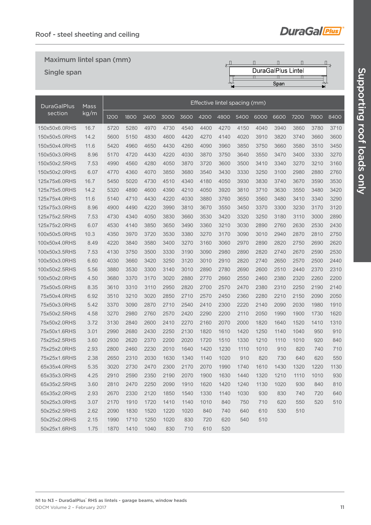

Single span

|  | <b>DuraGalPlus Lintel</b> |  |
|--|---------------------------|--|
|  |                           |  |
|  | Span                      |  |

| <b>DuraGalPlus</b> | Mass | Effective lintel spacing (mm) |      |      |      |      |      |      |      |      |      |      |      |      |
|--------------------|------|-------------------------------|------|------|------|------|------|------|------|------|------|------|------|------|
| section            | kg/m | 1200                          | 1800 | 2400 | 3000 | 3600 | 4200 | 4800 | 5400 | 6000 | 6600 | 7200 | 7800 | 8400 |
| 150x50x6.0RHS      | 16.7 | 5720                          | 5280 | 4970 | 4730 | 4540 | 4400 | 4270 | 4150 | 4040 | 3940 | 3860 | 3780 | 3710 |
| 150x50x5.0RHS      | 14.2 | 5600                          | 5150 | 4830 | 4600 | 4420 | 4270 | 4140 | 4020 | 3910 | 3820 | 3740 | 3660 | 3600 |
| 150x50x4.0RHS      | 11.6 | 5420                          | 4960 | 4650 | 4430 | 4260 | 4090 | 3960 | 3850 | 3750 | 3660 | 3580 | 3510 | 3450 |
| 150x50x3.0RHS      | 8.96 | 5170                          | 4720 | 4430 | 4220 | 4030 | 3870 | 3750 | 3640 | 3550 | 3470 | 3400 | 3330 | 3270 |
| 150x50x2.5RHS      | 7.53 | 4990                          | 4560 | 4280 | 4050 | 3870 | 3720 | 3600 | 3500 | 3410 | 3340 | 3270 | 3210 | 3160 |
| 150x50x2.0RHS      | 6.07 | 4770                          | 4360 | 4070 | 3850 | 3680 | 3540 | 3430 | 3330 | 3250 | 3100 | 2980 | 2880 | 2760 |
| 125x75x6.0RHS      | 16.7 | 5450                          | 5020 | 4730 | 4510 | 4340 | 4180 | 4050 | 3930 | 3830 | 3740 | 3670 | 3590 | 3530 |
| 125x75x5.0RHS      | 14.2 | 5320                          | 4890 | 4600 | 4390 | 4210 | 4050 | 3920 | 3810 | 3710 | 3630 | 3550 | 3480 | 3420 |
| 125x75x4.0RHS      | 11.6 | 5140                          | 4710 | 4430 | 4220 | 4030 | 3880 | 3760 | 3650 | 3560 | 3480 | 3410 | 3340 | 3290 |
| 125x75x3.0RHS      | 8.96 | 4900                          | 4490 | 4220 | 3990 | 3810 | 3670 | 3550 | 3450 | 3370 | 3300 | 3230 | 3170 | 3120 |
| 125x75x2.5RHS      | 7.53 | 4730                          | 4340 | 4050 | 3830 | 3660 | 3530 | 3420 | 3320 | 3250 | 3180 | 3110 | 3000 | 2890 |
| 125x75x2.0RHS      | 6.07 | 4530                          | 4140 | 3850 | 3650 | 3490 | 3360 | 3210 | 3030 | 2890 | 2760 | 2630 | 2530 | 2430 |
| 100x50x5.0RHS      | 10.3 | 4350                          | 3970 | 3720 | 3530 | 3380 | 3270 | 3170 | 3090 | 3010 | 2940 | 2870 | 2810 | 2750 |
| 100x50x4.0RHS      | 8.49 | 4220                          | 3840 | 3580 | 3400 | 3270 | 3160 | 3060 | 2970 | 2890 | 2820 | 2750 | 2690 | 2620 |
| 100x50x3.5RHS      | 7.53 | 4130                          | 3750 | 3500 | 3330 | 3190 | 3090 | 2980 | 2890 | 2820 | 2740 | 2670 | 2590 | 2530 |
| 100x50x3.0RHS      | 6.60 | 4030                          | 3660 | 3420 | 3250 | 3120 | 3010 | 2910 | 2820 | 2740 | 2650 | 2570 | 2500 | 2440 |
| 100x50x2.5RHS      | 5.56 | 3880                          | 3530 | 3300 | 3140 | 3010 | 2890 | 2780 | 2690 | 2600 | 2510 | 2440 | 2370 | 2310 |
| 100x50x2.0RHS      | 4.50 | 3680                          | 3370 | 3170 | 3020 | 2880 | 2770 | 2660 | 2550 | 2460 | 2380 | 2320 | 2260 | 2200 |
| 75x50x5.0RHS       | 8.35 | 3610                          | 3310 | 3110 | 2950 | 2820 | 2700 | 2570 | 2470 | 2380 | 2310 | 2250 | 2190 | 2140 |
| 75x50x4.0RHS       | 6.92 | 3510                          | 3210 | 3020 | 2850 | 2710 | 2570 | 2450 | 2360 | 2280 | 2210 | 2150 | 2090 | 2050 |
| 75x50x3.0RHS       | 5.42 | 3370                          | 3090 | 2870 | 2710 | 2540 | 2410 | 2300 | 2220 | 2140 | 2090 | 2030 | 1980 | 1910 |
| 75x50x2.5RHS       | 4.58 | 3270                          | 2980 | 2760 | 2570 | 2420 | 2290 | 2200 | 2110 | 2050 | 1990 | 1900 | 1730 | 1620 |
| 75x50x2.0RHS       | 3.72 | 3130                          | 2840 | 2600 | 2410 | 2270 | 2160 | 2070 | 2000 | 1820 | 1640 | 1520 | 1410 | 1310 |
| 75x50x1.6RHS       | 3.01 | 2990                          | 2680 | 2430 | 2250 | 2130 | 1820 | 1610 | 1420 | 1250 | 1140 | 1040 | 950  | 910  |
| 75x25x2.5RHS       | 3.60 | 2930                          | 2620 | 2370 | 2200 | 2020 | 1720 | 1510 | 1330 | 1210 | 1110 | 1010 | 920  | 840  |
| 75x25x2.0RHS       | 2.93 | 2800                          | 2460 | 2230 | 2010 | 1640 | 1420 | 1230 | 1110 | 1010 | 910  | 820  | 740  | 710  |
| 75x25x1.6RHS       | 2.38 | 2650                          | 2310 | 2030 | 1630 | 1340 | 1140 | 1020 | 910  | 820  | 730  | 640  | 620  | 550  |
| 65x35x4.0RHS       | 5.35 | 3020                          | 2730 | 2470 | 2300 | 2170 | 2070 | 1990 | 1740 | 1610 | 1430 | 1320 | 1220 | 1130 |
| 65x35x3.0RHS       | 4.25 | 2910                          | 2590 | 2350 | 2190 | 2070 | 1900 | 1630 | 1440 | 1320 | 1210 | 1110 | 1010 | 930  |
| 65x35x2.5RHS       | 3.60 | 2810                          | 2470 | 2250 | 2090 | 1910 | 1620 | 1420 | 1240 | 1130 | 1020 | 930  | 840  | 810  |
| 65x35x2.0RHS       | 2.93 | 2670                          | 2330 | 2120 | 1850 | 1540 | 1330 | 1140 | 1030 | 930  | 830  | 740  | 720  | 640  |
| 50x25x3.0RHS       | 3.07 | 2170                          | 1910 | 1720 | 1410 | 1140 | 1010 | 840  | 750  | 710  | 620  | 550  | 520  | 510  |
| 50x25x2.5RHS       | 2.62 | 2090                          | 1830 | 1520 | 1220 | 1020 | 840  | 740  | 640  | 610  | 530  | 510  |      |      |
| 50x25x2.0RHS       | 2.15 | 1990                          | 1710 | 1250 | 1020 | 830  | 720  | 620  | 540  | 510  |      |      |      |      |
| 50x25x1.6RHS       | 1.75 | 1870                          | 1410 | 1040 | 830  | 710  | 610  | 520  |      |      |      |      |      |      |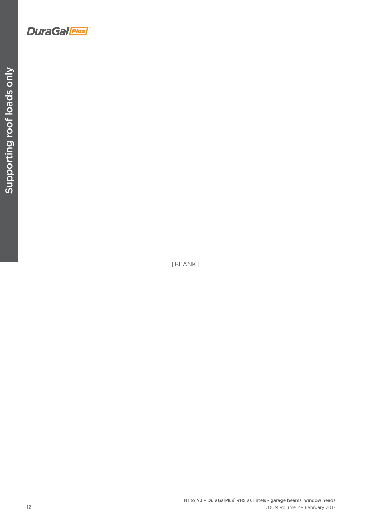

[BLANK]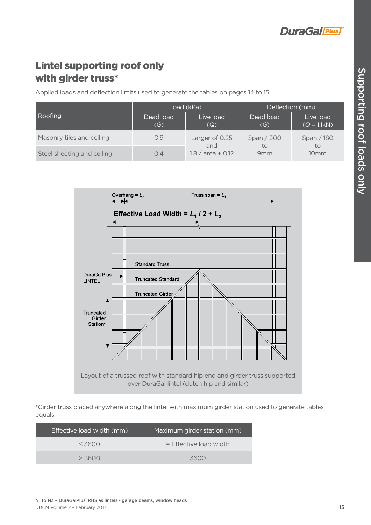### Lintel supporting roof only with girder truss\*

Applied loads and deflection limits used to generate the tables on pages 14 to 15.

|                            |                  | Load (kPa)                 | Deflection (mm)       |                            |  |  |
|----------------------------|------------------|----------------------------|-----------------------|----------------------------|--|--|
| Roofing                    | Dead load<br>(G) | Live load<br>(Q)           | Dead load<br>(G)      | Live load<br>$(Q = 1.1kN)$ |  |  |
| Masonry tiles and ceiling  | O.9              | Larger of 0.25             | Span $/300$           | Span / 180                 |  |  |
| Steel sheeting and ceiling | 0.4              | and<br>$1.8 / area + 0.12$ | to<br>9 <sub>mm</sub> | to<br>10 <sub>mm</sub>     |  |  |



\*Girder truss placed anywhere along the lintel with maximum girder station used to generate tables equals:

| Effective load width (mm) | Maximum girder station (mm) |
|---------------------------|-----------------------------|
| $<$ 3600                  | $=$ Effective load width    |
| > 3600                    | 3600                        |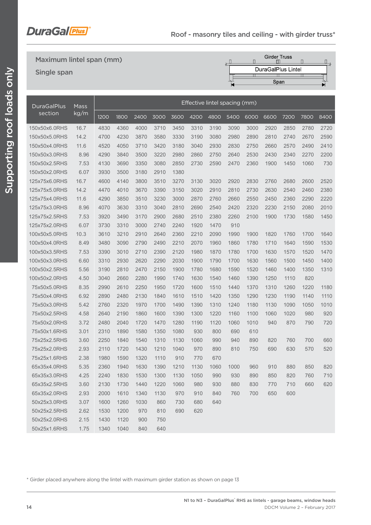

Single span

| <b>Girder Truss</b> |  |
|---------------------|--|
| DuraGalPlus Lintel  |  |
|                     |  |
| Span                |  |

| <b>DuraGalPlus</b> | Mass | Effective lintel spacing (mm) |      |      |      |      |      |      |      |      |      |      |      |      |
|--------------------|------|-------------------------------|------|------|------|------|------|------|------|------|------|------|------|------|
| section            | kg/m | 1200                          | 1800 | 2400 | 3000 | 3600 | 4200 | 4800 | 5400 | 6000 | 6600 | 7200 | 7800 | 8400 |
| 150x50x6.0RHS      | 16.7 | 4830                          | 4360 | 4000 | 3710 | 3450 | 3310 | 3190 | 3090 | 3000 | 2920 | 2850 | 2780 | 2720 |
| 150x50x5.0RHS      | 14.2 | 4700                          | 4230 | 3870 | 3580 | 3330 | 3190 | 3080 | 2980 | 2890 | 2810 | 2740 | 2670 | 2590 |
| 150x50x4.0RHS      | 11.6 | 4520                          | 4050 | 3710 | 3420 | 3180 | 3040 | 2930 | 2830 | 2750 | 2660 | 2570 | 2490 | 2410 |
| 150x50x3.0RHS      | 8.96 | 4290                          | 3840 | 3500 | 3220 | 2980 | 2860 | 2750 | 2640 | 2530 | 2430 | 2340 | 2270 | 2200 |
| 150x50x2.5RHS      | 7.53 | 4130                          | 3690 | 3350 | 3080 | 2850 | 2730 | 2590 | 2470 | 2360 | 1900 | 1450 | 1060 | 730  |
| 150x50x2.0RHS      | 6.07 | 3930                          | 3500 | 3180 | 2910 | 1380 |      |      |      |      |      |      |      |      |
| 125x75x6.0RHS      | 16.7 | 4600                          | 4140 | 3800 | 3510 | 3270 | 3130 | 3020 | 2920 | 2830 | 2760 | 2680 | 2600 | 2520 |
| 125x75x5.0RHS      | 14.2 | 4470                          | 4010 | 3670 | 3390 | 3150 | 3020 | 2910 | 2810 | 2730 | 2630 | 2540 | 2460 | 2380 |
| 125x75x4.0RHS      | 11.6 | 4290                          | 3850 | 3510 | 3230 | 3000 | 2870 | 2760 | 2660 | 2550 | 2450 | 2360 | 2290 | 2220 |
| 125x75x3.0RHS      | 8.96 | 4070                          | 3630 | 3310 | 3040 | 2810 | 2690 | 2540 | 2420 | 2320 | 2230 | 2150 | 2080 | 2010 |
| 125x75x2.5RHS      | 7.53 | 3920                          | 3490 | 3170 | 2900 | 2680 | 2510 | 2380 | 2260 | 2100 | 1900 | 1730 | 1580 | 1450 |
| 125x75x2.0RHS      | 6.07 | 3730                          | 3310 | 3000 | 2740 | 2240 | 1920 | 1470 | 910  |      |      |      |      |      |
| 100x50x5.0RHS      | 10.3 | 3610                          | 3210 | 2910 | 2640 | 2360 | 2210 | 2090 | 1990 | 1900 | 1820 | 1760 | 1700 | 1640 |
| 100x50x4.0RHS      | 8.49 | 3480                          | 3090 | 2790 | 2490 | 2210 | 2070 | 1960 | 1860 | 1780 | 1710 | 1640 | 1590 | 1530 |
| 100x50x3.5RHS      | 7.53 | 3390                          | 3010 | 2710 | 2390 | 2120 | 1980 | 1870 | 1780 | 1700 | 1630 | 1570 | 1520 | 1470 |
| 100x50x3.0RHS      | 6.60 | 3310                          | 2930 | 2620 | 2290 | 2030 | 1900 | 1790 | 1700 | 1630 | 1560 | 1500 | 1450 | 1400 |
| 100x50x2.5RHS      | 5.56 | 3190                          | 2810 | 2470 | 2150 | 1900 | 1780 | 1680 | 1590 | 1520 | 1460 | 1400 | 1350 | 1310 |
| 100x50x2.0RHS      | 4.50 | 3040                          | 2660 | 2280 | 1990 | 1740 | 1630 | 1540 | 1460 | 1390 | 1250 | 1110 | 820  |      |
| 75x50x5.0RHS       | 8.35 | 2990                          | 2610 | 2250 | 1950 | 1720 | 1600 | 1510 | 1440 | 1370 | 1310 | 1260 | 1220 | 1180 |
| 75x50x4.0RHS       | 6.92 | 2890                          | 2480 | 2130 | 1840 | 1610 | 1510 | 1420 | 1350 | 1290 | 1230 | 1190 | 1140 | 1110 |
| 75x50x3.0RHS       | 5.42 | 2760                          | 2320 | 1970 | 1700 | 1490 | 1390 | 1310 | 1240 | 1180 | 1130 | 1090 | 1050 | 1010 |
| 75x50x2.5RHS       | 4.58 | 2640                          | 2190 | 1860 | 1600 | 1390 | 1300 | 1220 | 1160 | 1100 | 1060 | 1020 | 980  | 920  |
| 75x50x2.0RHS       | 3.72 | 2480                          | 2040 | 1720 | 1470 | 1280 | 1190 | 1120 | 1060 | 1010 | 940  | 870  | 790  | 720  |
| 75x50x1.6RHS       | 3.01 | 2310                          | 1890 | 1580 | 1350 | 1080 | 930  | 800  | 690  | 610  |      |      |      |      |
| 75x25x2.5RHS       | 3.60 | 2250                          | 1840 | 1540 | 1310 | 1130 | 1060 | 990  | 940  | 890  | 820  | 760  | 700  | 660  |
| 75x25x2.0RHS       | 2.93 | 2110                          | 1720 | 1430 | 1210 | 1040 | 970  | 890  | 810  | 750  | 690  | 630  | 570  | 520  |
| 75x25x1.6RHS       | 2.38 | 1980                          | 1590 | 1320 | 1110 | 910  | 770  | 670  |      |      |      |      |      |      |
| 65x35x4.0RHS       | 5.35 | 2360                          | 1940 | 1630 | 1390 | 1210 | 1130 | 1060 | 1000 | 960  | 910  | 880  | 850  | 820  |
| 65x35x3.0RHS       | 4.25 | 2240                          | 1830 | 1530 | 1300 | 1130 | 1050 | 990  | 930  | 890  | 850  | 820  | 760  | 710  |
| 65x35x2.5RHS       | 3.60 | 2130                          | 1730 | 1440 | 1220 | 1060 | 980  | 930  | 880  | 830  | 770  | 710  | 660  | 620  |
| 65x35x2.0RHS       | 2.93 | 2000                          | 1610 | 1340 | 1130 | 970  | 910  | 840  | 760  | 700  | 650  | 600  |      |      |
| 50x25x3.0RHS       | 3.07 | 1600                          | 1260 | 1030 | 860  | 730  | 680  | 640  |      |      |      |      |      |      |
| 50x25x2.5RHS       | 2.62 | 1530                          | 1200 | 970  | 810  | 690  | 620  |      |      |      |      |      |      |      |
| 50x25x2.0RHS       | 2.15 | 1430                          | 1120 | 900  | 750  |      |      |      |      |      |      |      |      |      |
| 50x25x1.6RHS       | 1.75 | 1340                          | 1040 | 840  | 640  |      |      |      |      |      |      |      |      |      |

\* Girder placed anywhere along the lintel with maximum girder station as shown on page 13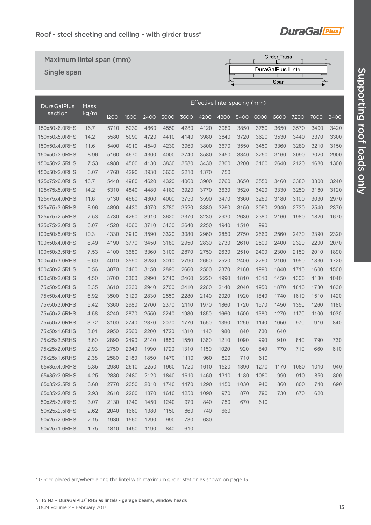

Single span

| <b>Girder Truss</b> |
|---------------------|
| DuraGalPlus Lintel  |
|                     |
| Span                |

| <b>DuraGalPlus</b> | Mass | Effective lintel spacing (mm) |      |      |      |      |      |      |      |      |      |      |      |      |
|--------------------|------|-------------------------------|------|------|------|------|------|------|------|------|------|------|------|------|
| section            | kg/m | 1200                          | 1800 | 2400 | 3000 | 3600 | 4200 | 4800 | 5400 | 6000 | 6600 | 7200 | 7800 | 8400 |
| 150x50x6.0RHS      | 16.7 | 5710                          | 5230 | 4860 | 4550 | 4280 | 4120 | 3980 | 3850 | 3750 | 3650 | 3570 | 3490 | 3420 |
| 150x50x5.0RHS      | 14.2 | 5580                          | 5090 | 4720 | 4410 | 4140 | 3980 | 3840 | 3720 | 3620 | 3530 | 3440 | 3370 | 3300 |
| 150x50x4.0RHS      | 11.6 | 5400                          | 4910 | 4540 | 4230 | 3960 | 3800 | 3670 | 3550 | 3450 | 3360 | 3280 | 3210 | 3150 |
| 150x50x3.0RHS      | 8.96 | 5160                          | 4670 | 4300 | 4000 | 3740 | 3580 | 3450 | 3340 | 3250 | 3160 | 3090 | 3020 | 2900 |
| 150x50x2.5RHS      | 7.53 | 4980                          | 4500 | 4130 | 3830 | 3580 | 3430 | 3300 | 3200 | 3100 | 2640 | 2120 | 1680 | 1300 |
| 150x50x2.0RHS      | 6.07 | 4760                          | 4290 | 3930 | 3630 | 2210 | 1370 | 750  |      |      |      |      |      |      |
| 125x75x6.0RHS      | 16.7 | 5440                          | 4980 | 4620 | 4320 | 4060 | 3900 | 3760 | 3650 | 3550 | 3460 | 3380 | 3300 | 3240 |
| 125x75x5.0RHS      | 14.2 | 5310                          | 4840 | 4480 | 4180 | 3920 | 3770 | 3630 | 3520 | 3420 | 3330 | 3250 | 3180 | 3120 |
| 125x75x4.0RHS      | 11.6 | 5130                          | 4660 | 4300 | 4000 | 3750 | 3590 | 3470 | 3360 | 3260 | 3180 | 3100 | 3030 | 2970 |
| 125x75x3.0RHS      | 8.96 | 4890                          | 4430 | 4070 | 3780 | 3520 | 3380 | 3260 | 3150 | 3060 | 2940 | 2730 | 2540 | 2370 |
| 125x75x2.5RHS      | 7.53 | 4730                          | 4260 | 3910 | 3620 | 3370 | 3230 | 2930 | 2630 | 2380 | 2160 | 1980 | 1820 | 1670 |
| 125x75x2.0RHS      | 6.07 | 4520                          | 4060 | 3710 | 3430 | 2640 | 2250 | 1940 | 1510 | 990  |      |      |      |      |
| 100x50x5.0RHS      | 10.3 | 4330                          | 3910 | 3590 | 3320 | 3080 | 2960 | 2850 | 2750 | 2660 | 2560 | 2470 | 2390 | 2320 |
| 100x50x4.0RHS      | 8.49 | 4190                          | 3770 | 3450 | 3180 | 2950 | 2830 | 2730 | 2610 | 2500 | 2400 | 2320 | 2200 | 2070 |
| 100x50x3.5RHS      | 7.53 | 4100                          | 3680 | 3360 | 3100 | 2870 | 2750 | 2630 | 2510 | 2400 | 2300 | 2150 | 2010 | 1890 |
| 100x50x3.0RHS      | 6.60 | 4010                          | 3590 | 3280 | 3010 | 2790 | 2660 | 2520 | 2400 | 2260 | 2100 | 1950 | 1830 | 1720 |
| 100x50x2.5RHS      | 5.56 | 3870                          | 3460 | 3150 | 2890 | 2660 | 2500 | 2370 | 2160 | 1990 | 1840 | 1710 | 1600 | 1500 |
| 100x50x2.0RHS      | 4.50 | 3700                          | 3300 | 2990 | 2740 | 2460 | 2220 | 1990 | 1810 | 1610 | 1450 | 1300 | 1180 | 1040 |
| 75x50x5.0RHS       | 8.35 | 3610                          | 3230 | 2940 | 2700 | 2410 | 2260 | 2140 | 2040 | 1950 | 1870 | 1810 | 1730 | 1630 |
| 75x50x4.0RHS       | 6.92 | 3500                          | 3120 | 2830 | 2550 | 2280 | 2140 | 2020 | 1920 | 1840 | 1740 | 1610 | 1510 | 1420 |
| 75x50x3.0RHS       | 5.42 | 3360                          | 2980 | 2700 | 2370 | 2110 | 1970 | 1860 | 1720 | 1570 | 1450 | 1350 | 1260 | 1180 |
| 75x50x2.5RHS       | 4.58 | 3240                          | 2870 | 2550 | 2240 | 1980 | 1850 | 1660 | 1500 | 1380 | 1270 | 1170 | 1100 | 1030 |
| 75x50x2.0RHS       | 3.72 | 3100                          | 2740 | 2370 | 2070 | 1770 | 1550 | 1390 | 1250 | 1140 | 1050 | 970  | 910  | 840  |
| 75x50x1.6RHS       | 3.01 | 2950                          | 2560 | 2200 | 1720 | 1310 | 1140 | 980  | 840  | 730  | 640  |      |      |      |
| 75x25x2.5RHS       | 3.60 | 2890                          | 2490 | 2140 | 1850 | 1550 | 1360 | 1210 | 1090 | 990  | 910  | 840  | 790  | 730  |
| 75x25x2.0RHS       | 2.93 | 2750                          | 2340 | 1990 | 1720 | 1310 | 1150 | 1020 | 920  | 840  | 770  | 710  | 660  | 610  |
| 75x25x1.6RHS       | 2.38 | 2580                          | 2180 | 1850 | 1470 | 1110 | 960  | 820  | 710  | 610  |      |      |      |      |
| 65x35x4.0RHS       | 5.35 | 2980                          | 2610 | 2250 | 1960 | 1720 | 1610 | 1520 | 1390 | 1270 | 1170 | 1080 | 1010 | 940  |
| 65x35x3.0RHS       | 4.25 | 2880                          | 2480 | 2120 | 1840 | 1610 | 1460 | 1310 | 1180 | 1080 | 990  | 910  | 850  | 800  |
| 65x35x2.5RHS       | 3.60 | 2770                          | 2350 | 2010 | 1740 | 1470 | 1290 | 1150 | 1030 | 940  | 860  | 800  | 740  | 690  |
| 65x35x2.0RHS       | 2.93 | 2610                          | 2200 | 1870 | 1610 | 1250 | 1090 | 970  | 870  | 790  | 730  | 670  | 620  |      |
| 50x25x3.0RHS       | 3.07 | 2130                          | 1740 | 1450 | 1240 | 970  | 840  | 750  | 670  | 610  |      |      |      |      |
| 50x25x2.5RHS       | 2.62 | 2040                          | 1660 | 1380 | 1150 | 860  | 740  | 660  |      |      |      |      |      |      |
| 50x25x2.0RHS       | 2.15 | 1930                          | 1560 | 1290 | 990  | 730  | 630  |      |      |      |      |      |      |      |
| 50x25x1.6RHS       | 1.75 | 1810                          | 1450 | 1190 | 840  | 610  |      |      |      |      |      |      |      |      |

\* Girder placed anywhere along the lintel with maximum girder station as shown on page 13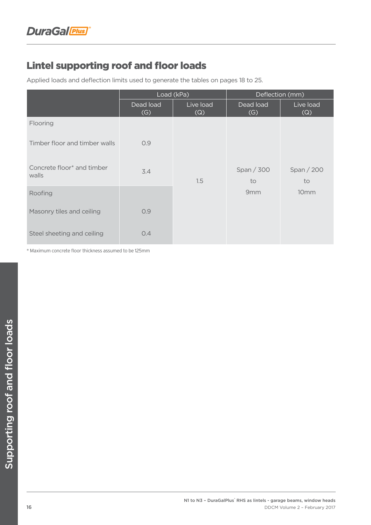### Lintel supporting roof and floor loads

Applied loads and deflection limits used to generate the tables on pages 18 to 25.

|                                     | Load (kPa)       |                  | Deflection (mm)  |                  |  |  |
|-------------------------------------|------------------|------------------|------------------|------------------|--|--|
|                                     | Dead load<br>(G) | Live load<br>(Q) | Dead load<br>(G) | Live load<br>(Q) |  |  |
| Flooring                            |                  |                  |                  |                  |  |  |
| Timber floor and timber walls       | 0.9              |                  |                  |                  |  |  |
| Concrete floor* and timber<br>walls | 3.4              | 1.5              | Span / 300<br>to | Span / 200<br>to |  |  |
| Roofing                             |                  |                  | 9 <sub>mm</sub>  | 10 <sub>mm</sub> |  |  |
| Masonry tiles and ceiling           | 0.9              |                  |                  |                  |  |  |
| Steel sheeting and ceiling          | O.4              |                  |                  |                  |  |  |

\* Maximum concrete floor thickness assumed to be 125mm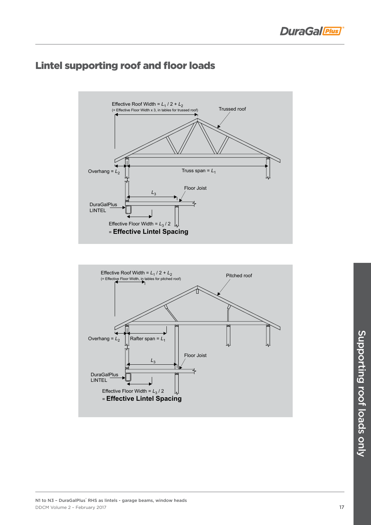

### Lintel supporting roof and floor loads

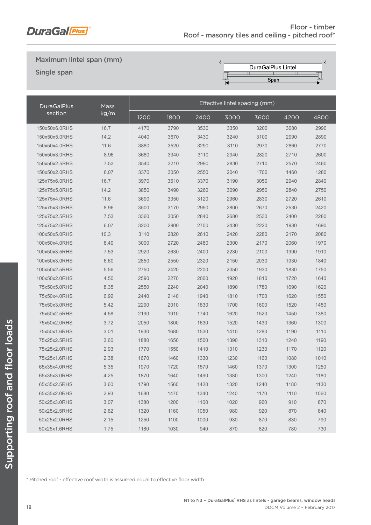

Single span

DuraGalPlus Lintel <u>н п</u><br>Span  $\blacksquare$ 

| <b>DuraGalPlus</b> | <b>Mass</b> | Effective lintel spacing (mm) |      |      |      |      |      |      |  |  |  |
|--------------------|-------------|-------------------------------|------|------|------|------|------|------|--|--|--|
| section            | kg/m        | 1200                          | 1800 | 2400 | 3000 | 3600 | 4200 | 4800 |  |  |  |
| 150x50x6.0RHS      | 16.7        | 4170                          | 3790 | 3530 | 3350 | 3200 | 3080 | 2990 |  |  |  |
| 150x50x5.0RHS      | 14.2        | 4040                          | 3670 | 3430 | 3240 | 3100 | 2990 | 2890 |  |  |  |
| 150x50x4.0RHS      | 11.6        | 3880                          | 3520 | 3290 | 3110 | 2970 | 2860 | 2770 |  |  |  |
| 150x50x3.0RHS      | 8.96        | 3680                          | 3340 | 3110 | 2940 | 2820 | 2710 | 2600 |  |  |  |
| 150x50x2.5RHS      | 7.53        | 3540                          | 3210 | 2990 | 2830 | 2710 | 2570 | 2460 |  |  |  |
| 150x50x2.0RHS      | 6.07        | 3370                          | 3050 | 2550 | 2040 | 1700 | 1460 | 1280 |  |  |  |
| 125x75x6.0RHS      | 16.7        | 3970                          | 3610 | 3370 | 3190 | 3050 | 2940 | 2840 |  |  |  |
| 125x75x5.0RHS      | 14.2        | 3850                          | 3490 | 3260 | 3090 | 2950 | 2840 | 2750 |  |  |  |
| 125x75x4.0RHS      | 11.6        | 3690                          | 3350 | 3120 | 2960 | 2830 | 2720 | 2610 |  |  |  |
| 125x75x3.0RHS      | 8.96        | 3500                          | 3170 | 2950 | 2800 | 2670 | 2530 | 2420 |  |  |  |
| 125x75x2.5RHS      | 7.53        | 3360                          | 3050 | 2840 | 2680 | 2530 | 2400 | 2280 |  |  |  |
| 125x75x2.0RHS      | 6.07        | 3200                          | 2900 | 2700 | 2430 | 2220 | 1930 | 1690 |  |  |  |
| 100x50x5.0RHS      | 10.3        | 3110                          | 2820 | 2610 | 2420 | 2280 | 2170 | 2080 |  |  |  |
| 100x50x4.0RHS      | 8.49        | 3000                          | 2720 | 2480 | 2300 | 2170 | 2060 | 1970 |  |  |  |
| 100x50x3.5RHS      | 7.53        | 2920                          | 2630 | 2400 | 2230 | 2100 | 1990 | 1910 |  |  |  |
| 100x50x3.0RHS      | 6.60        | 2850                          | 2550 | 2320 | 2150 | 2030 | 1930 | 1840 |  |  |  |
| 100x50x2.5RHS      | 5.56        | 2750                          | 2420 | 2200 | 2050 | 1930 | 1830 | 1750 |  |  |  |
| 100x50x2.0RHS      | 4.50        | 2590                          | 2270 | 2060 | 1920 | 1810 | 1720 | 1640 |  |  |  |
| 75x50x5.0RHS       | 8.35        | 2550                          | 2240 | 2040 | 1890 | 1780 | 1690 | 1620 |  |  |  |
| 75x50x4.0RHS       | 6.92        | 2440                          | 2140 | 1940 | 1810 | 1700 | 1620 | 1550 |  |  |  |
| 75x50x3.0RHS       | 5.42        | 2290                          | 2010 | 1830 | 1700 | 1600 | 1520 | 1450 |  |  |  |
| 75x50x2.5RHS       | 4.58        | 2190                          | 1910 | 1740 | 1620 | 1520 | 1450 | 1380 |  |  |  |
| 75x50x2.0RHS       | 3.72        | 2050                          | 1800 | 1630 | 1520 | 1430 | 1360 | 1300 |  |  |  |
| 75x50x1.6RHS       | 3.01        | 1930                          | 1680 | 1530 | 1410 | 1280 | 1190 | 1110 |  |  |  |
| 75x25x2.5RHS       | 3.60        | 1880                          | 1650 | 1500 | 1390 | 1310 | 1240 | 1190 |  |  |  |
| 75x25x2.0RHS       | 2.93        | 1770                          | 1550 | 1410 | 1310 | 1230 | 1170 | 1120 |  |  |  |
| 75x25x1.6RHS       | 2.38        | 1670                          | 1460 | 1330 | 1230 | 1160 | 1080 | 1010 |  |  |  |
| 65x35x4.0RHS       | 5.35        | 1970                          | 1720 | 1570 | 1460 | 1370 | 1300 | 1250 |  |  |  |
| 65x35x3.0RHS       | 4.25        | 1870                          | 1640 | 1490 | 1380 | 1300 | 1240 | 1180 |  |  |  |
| 65x35x2.5RHS       | 3.60        | 1790                          | 1560 | 1420 | 1320 | 1240 | 1180 | 1130 |  |  |  |
| 65x35x2.0RHS       | 2.93        | 1680                          | 1470 | 1340 | 1240 | 1170 | 1110 | 1060 |  |  |  |
| 50x25x3.0RHS       | 3.07        | 1380                          | 1200 | 1100 | 1020 | 960  | 910  | 870  |  |  |  |
| 50x25x2.5RHS       | 2.62        | 1320                          | 1160 | 1050 | 980  | 920  | 870  | 840  |  |  |  |
| 50x25x2.0RHS       | 2.15        | 1250                          | 1100 | 1000 | 930  | 870  | 830  | 790  |  |  |  |
| 50x25x1.6RHS       | 1.75        | 1180                          | 1030 | 940  | 870  | 820  | 780  | 730  |  |  |  |

\* Pitched roof - effective roof width is assumed equal to effective floor width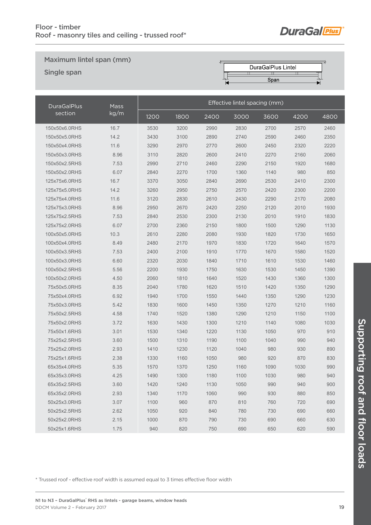

Single span

| DuraGalPlus Lintel |
|--------------------|
|                    |
| Span               |
|                    |

| <b>DuraGalPlus</b> | <b>Mass</b> | Effective lintel spacing (mm) |      |      |      |      |      |      |  |  |  |
|--------------------|-------------|-------------------------------|------|------|------|------|------|------|--|--|--|
| section            | kg/m        | 1200                          | 1800 | 2400 | 3000 | 3600 | 4200 | 4800 |  |  |  |
| 150x50x6.0RHS      | 16.7        | 3530                          | 3200 | 2990 | 2830 | 2700 | 2570 | 2460 |  |  |  |
| 150x50x5.0RHS      | 14.2        | 3430                          | 3100 | 2890 | 2740 | 2590 | 2460 | 2350 |  |  |  |
| 150x50x4.0RHS      | 11.6        | 3290                          | 2970 | 2770 | 2600 | 2450 | 2320 | 2220 |  |  |  |
| 150x50x3.0RHS      | 8.96        | 3110                          | 2820 | 2600 | 2410 | 2270 | 2160 | 2060 |  |  |  |
| 150x50x2.5RHS      | 7.53        | 2990                          | 2710 | 2460 | 2290 | 2150 | 1920 | 1680 |  |  |  |
| 150x50x2.0RHS      | 6.07        | 2840                          | 2270 | 1700 | 1360 | 1140 | 980  | 850  |  |  |  |
| 125x75x6.0RHS      | 16.7        | 3370                          | 3050 | 2840 | 2690 | 2530 | 2410 | 2300 |  |  |  |
| 125x75x5.0RHS      | 14.2        | 3260                          | 2950 | 2750 | 2570 | 2420 | 2300 | 2200 |  |  |  |
| 125x75x4.0RHS      | 11.6        | 3120                          | 2830 | 2610 | 2430 | 2290 | 2170 | 2080 |  |  |  |
| 125x75x3.0RHS      | 8.96        | 2950                          | 2670 | 2420 | 2250 | 2120 | 2010 | 1930 |  |  |  |
| 125x75x2.5RHS      | 7.53        | 2840                          | 2530 | 2300 | 2130 | 2010 | 1910 | 1830 |  |  |  |
| 125x75x2.0RHS      | 6.07        | 2700                          | 2360 | 2150 | 1800 | 1500 | 1290 | 1130 |  |  |  |
| 100x50x5.0RHS      | 10.3        | 2610                          | 2280 | 2080 | 1930 | 1820 | 1730 | 1650 |  |  |  |
| 100x50x4.0RHS      | 8.49        | 2480                          | 2170 | 1970 | 1830 | 1720 | 1640 | 1570 |  |  |  |
| 100x50x3.5RHS      | 7.53        | 2400                          | 2100 | 1910 | 1770 | 1670 | 1580 | 1520 |  |  |  |
| 100x50x3.0RHS      | 6.60        | 2320                          | 2030 | 1840 | 1710 | 1610 | 1530 | 1460 |  |  |  |
| 100x50x2.5RHS      | 5.56        | 2200                          | 1930 | 1750 | 1630 | 1530 | 1450 | 1390 |  |  |  |
| 100x50x2.0RHS      | 4.50        | 2060                          | 1810 | 1640 | 1520 | 1430 | 1360 | 1300 |  |  |  |
| 75x50x5.0RHS       | 8.35        | 2040                          | 1780 | 1620 | 1510 | 1420 | 1350 | 1290 |  |  |  |
| 75x50x4.0RHS       | 6.92        | 1940                          | 1700 | 1550 | 1440 | 1350 | 1290 | 1230 |  |  |  |
| 75x50x3.0RHS       | 5.42        | 1830                          | 1600 | 1450 | 1350 | 1270 | 1210 | 1160 |  |  |  |
| 75x50x2.5RHS       | 4.58        | 1740                          | 1520 | 1380 | 1290 | 1210 | 1150 | 1100 |  |  |  |
| 75x50x2.0RHS       | 3.72        | 1630                          | 1430 | 1300 | 1210 | 1140 | 1080 | 1030 |  |  |  |
| 75x50x1.6RHS       | 3.01        | 1530                          | 1340 | 1220 | 1130 | 1050 | 970  | 910  |  |  |  |
| 75x25x2.5RHS       | 3.60        | 1500                          | 1310 | 1190 | 1100 | 1040 | 990  | 940  |  |  |  |
| 75x25x2.0RHS       | 2.93        | 1410                          | 1230 | 1120 | 1040 | 980  | 930  | 890  |  |  |  |
| 75x25x1.6RHS       | 2.38        | 1330                          | 1160 | 1050 | 980  | 920  | 870  | 830  |  |  |  |
| 65x35x4.0RHS       | 5.35        | 1570                          | 1370 | 1250 | 1160 | 1090 | 1030 | 990  |  |  |  |
| 65x35x3.0RHS       | 4.25        | 1490                          | 1300 | 1180 | 1100 | 1030 | 980  | 940  |  |  |  |
| 65x35x2.5RHS       | 3.60        | 1420                          | 1240 | 1130 | 1050 | 990  | 940  | 900  |  |  |  |
| 65x35x2.0RHS       | 2.93        | 1340                          | 1170 | 1060 | 990  | 930  | 880  | 850  |  |  |  |
| 50x25x3.0RHS       | 3.07        | 1100                          | 960  | 870  | 810  | 760  | 720  | 690  |  |  |  |
| 50x25x2.5RHS       | 2.62        | 1050                          | 920  | 840  | 780  | 730  | 690  | 660  |  |  |  |
| 50x25x2.0RHS       | 2.15        | 1000                          | 870  | 790  | 730  | 690  | 660  | 630  |  |  |  |
| 50x25x1.6RHS       | 1.75        | 940                           | 820  | 750  | 690  | 650  | 620  | 590  |  |  |  |

\* Trussed roof - effective roof width is assumed equal to 3 times effective floor width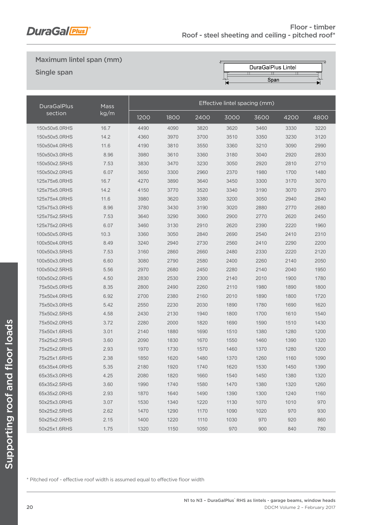

Single span

DuraGalPlus Lintel <u>н п</u><br>Span  $\blacksquare$ 

| <b>DuraGalPlus</b> | <b>Mass</b> | Effective lintel spacing (mm) |      |      |      |      |      |      |  |  |  |
|--------------------|-------------|-------------------------------|------|------|------|------|------|------|--|--|--|
| section            | kg/m        | 1200                          | 1800 | 2400 | 3000 | 3600 | 4200 | 4800 |  |  |  |
| 150x50x6.0RHS      | 16.7        | 4490                          | 4090 | 3820 | 3620 | 3460 | 3330 | 3220 |  |  |  |
| 150x50x5.0RHS      | 14.2        | 4360                          | 3970 | 3700 | 3510 | 3350 | 3230 | 3120 |  |  |  |
| 150x50x4.0RHS      | 11.6        | 4190                          | 3810 | 3550 | 3360 | 3210 | 3090 | 2990 |  |  |  |
| 150x50x3.0RHS      | 8.96        | 3980                          | 3610 | 3360 | 3180 | 3040 | 2920 | 2830 |  |  |  |
| 150x50x2.5RHS      | 7.53        | 3830                          | 3470 | 3230 | 3050 | 2920 | 2810 | 2710 |  |  |  |
| 150x50x2.0RHS      | 6.07        | 3650                          | 3300 | 2960 | 2370 | 1980 | 1700 | 1480 |  |  |  |
| 125x75x6.0RHS      | 16.7        | 4270                          | 3890 | 3640 | 3450 | 3300 | 3170 | 3070 |  |  |  |
| 125x75x5.0RHS      | 14.2        | 4150                          | 3770 | 3520 | 3340 | 3190 | 3070 | 2970 |  |  |  |
| 125x75x4.0RHS      | 11.6        | 3980                          | 3620 | 3380 | 3200 | 3050 | 2940 | 2840 |  |  |  |
| 125x75x3.0RHS      | 8.96        | 3780                          | 3430 | 3190 | 3020 | 2880 | 2770 | 2680 |  |  |  |
| 125x75x2.5RHS      | 7.53        | 3640                          | 3290 | 3060 | 2900 | 2770 | 2620 | 2450 |  |  |  |
| 125x75x2.0RHS      | 6.07        | 3460                          | 3130 | 2910 | 2620 | 2390 | 2220 | 1960 |  |  |  |
| 100x50x5.0RHS      | 10.3        | 3360                          | 3050 | 2840 | 2690 | 2540 | 2410 | 2310 |  |  |  |
| 100x50x4.0RHS      | 8.49        | 3240                          | 2940 | 2730 | 2560 | 2410 | 2290 | 2200 |  |  |  |
| 100x50x3.5RHS      | 7.53        | 3160                          | 2860 | 2660 | 2480 | 2330 | 2220 | 2120 |  |  |  |
| 100x50x3.0RHS      | 6.60        | 3080                          | 2790 | 2580 | 2400 | 2260 | 2140 | 2050 |  |  |  |
| 100x50x2.5RHS      | 5.56        | 2970                          | 2680 | 2450 | 2280 | 2140 | 2040 | 1950 |  |  |  |
| 100x50x2.0RHS      | 4.50        | 2830                          | 2530 | 2300 | 2140 | 2010 | 1900 | 1780 |  |  |  |
| 75x50x5.0RHS       | 8.35        | 2800                          | 2490 | 2260 | 2110 | 1980 | 1890 | 1800 |  |  |  |
| 75x50x4.0RHS       | 6.92        | 2700                          | 2380 | 2160 | 2010 | 1890 | 1800 | 1720 |  |  |  |
| 75x50x3.0RHS       | 5.42        | 2550                          | 2230 | 2030 | 1890 | 1780 | 1690 | 1620 |  |  |  |
| 75x50x2.5RHS       | 4.58        | 2430                          | 2130 | 1940 | 1800 | 1700 | 1610 | 1540 |  |  |  |
| 75x50x2.0RHS       | 3.72        | 2280                          | 2000 | 1820 | 1690 | 1590 | 1510 | 1430 |  |  |  |
| 75x50x1.6RHS       | 3.01        | 2140                          | 1880 | 1690 | 1510 | 1380 | 1280 | 1200 |  |  |  |
| 75x25x2.5RHS       | 3.60        | 2090                          | 1830 | 1670 | 1550 | 1460 | 1390 | 1320 |  |  |  |
| 75x25x2.0RHS       | 2.93        | 1970                          | 1730 | 1570 | 1460 | 1370 | 1280 | 1200 |  |  |  |
| 75x25x1.6RHS       | 2.38        | 1850                          | 1620 | 1480 | 1370 | 1260 | 1160 | 1090 |  |  |  |
| 65x35x4.0RHS       | 5.35        | 2180                          | 1920 | 1740 | 1620 | 1530 | 1450 | 1390 |  |  |  |
| 65x35x3.0RHS       | 4.25        | 2080                          | 1820 | 1660 | 1540 | 1450 | 1380 | 1320 |  |  |  |
| 65x35x2.5RHS       | 3.60        | 1990                          | 1740 | 1580 | 1470 | 1380 | 1320 | 1260 |  |  |  |
| 65x35x2.0RHS       | 2.93        | 1870                          | 1640 | 1490 | 1390 | 1300 | 1240 | 1160 |  |  |  |
| 50x25x3.0RHS       | 3.07        | 1530                          | 1340 | 1220 | 1130 | 1070 | 1010 | 970  |  |  |  |
| 50x25x2.5RHS       | 2.62        | 1470                          | 1290 | 1170 | 1090 | 1020 | 970  | 930  |  |  |  |
| 50x25x2.0RHS       | 2.15        | 1400                          | 1220 | 1110 | 1030 | 970  | 920  | 860  |  |  |  |
| 50x25x1.6RHS       | 1.75        | 1320                          | 1150 | 1050 | 970  | 900  | 840  | 780  |  |  |  |

\* Pitched roof - effective roof width is assumed equal to effective floor width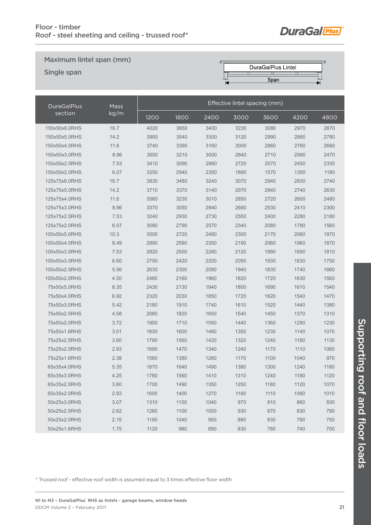

Single span

| DuraGalPlus Lintel |
|--------------------|
|                    |
| Span               |
|                    |

| <b>DuraGalPlus</b> | Mass | Effective lintel spacing (mm) |      |      |      |      |      |      |  |  |
|--------------------|------|-------------------------------|------|------|------|------|------|------|--|--|
| section            | kg/m | 1200                          | 1800 | 2400 | 3000 | 3600 | 4200 | 4800 |  |  |
| 150x50x6.0RHS      | 16.7 | 4020                          | 3650 | 3400 | 3230 | 3080 | 2970 | 2870 |  |  |
| 150x50x5.0RHS      | 14.2 | 3900                          | 3540 | 3300 | 3120 | 2990 | 2880 | 2780 |  |  |
| 150x50x4.0RHS      | 11.6 | 3740                          | 3390 | 3160 | 3000 | 2860 | 2760 | 2660 |  |  |
| 150x50x3.0RHS      | 8.96 | 3550                          | 3210 | 3000 | 2840 | 2710 | 2580 | 2470 |  |  |
| 150x50x2.5RHS      | 7.53 | 3410                          | 3090 | 2880 | 2720 | 2570 | 2450 | 2330 |  |  |
| 150x50x2.0RHS      | 6.07 | 3250                          | 2940 | 2350 | 1890 | 1570 | 1350 | 1180 |  |  |
| 125x75x6.0RHS      | 16.7 | 3830                          | 3480 | 3240 | 3070 | 2940 | 2830 | 2740 |  |  |
| 125x75x5.0RHS      | 14.2 | 3710                          | 3370 | 3140 | 2970 | 2840 | 2740 | 2630 |  |  |
| 125x75x4.0RHS      | 11.6 | 3560                          | 3230 | 3010 | 2850 | 2720 | 2600 | 2480 |  |  |
| 125x75x3.0RHS      | 8.96 | 3370                          | 3050 | 2840 | 2690 | 2530 | 2410 | 2300 |  |  |
| 125x75x2.5RHS      | 7.53 | 3240                          | 2930 | 2730 | 2550 | 2400 | 2280 | 2180 |  |  |
| 125x75x2.0RHS      | 6.07 | 3080                          | 2790 | 2570 | 2340 | 2080 | 1780 | 1560 |  |  |
| 100x50x5.0RHS      | 10.3 | 3000                          | 2720 | 2480 | 2300 | 2170 | 2060 | 1970 |  |  |
| 100x50x4.0RHS      | 8.49 | 2890                          | 2590 | 2350 | 2190 | 2060 | 1960 | 1870 |  |  |
| 100x50x3.5RHS      | 7.53 | 2820                          | 2500 | 2280 | 2120 | 1990 | 1890 | 1810 |  |  |
| 100x50x3.0RHS      | 6.60 | 2750                          | 2420 | 2200 | 2050 | 1930 | 1830 | 1750 |  |  |
| 100x50x2.5RHS      | 5.56 | 2630                          | 2300 | 2090 | 1940 | 1830 | 1740 | 1660 |  |  |
| 100x50x2.0RHS      | 4.50 | 2460                          | 2160 | 1960 | 1820 | 1720 | 1630 | 1560 |  |  |
| 75x50x5.0RHS       | 8.35 | 2430                          | 2130 | 1940 | 1800 | 1690 | 1610 | 1540 |  |  |
| 75x50x4.0RHS       | 6.92 | 2320                          | 2030 | 1850 | 1720 | 1620 | 1540 | 1470 |  |  |
| 75x50x3.0RHS       | 5.42 | 2180                          | 1910 | 1740 | 1610 | 1520 | 1440 | 1380 |  |  |
| 75x50x2.5RHS       | 4.58 | 2080                          | 1820 | 1650 | 1540 | 1450 | 1370 | 1310 |  |  |
| 75x50x2.0RHS       | 3.72 | 1950                          | 1710 | 1550 | 1440 | 1360 | 1290 | 1230 |  |  |
| 75x50x1.6RHS       | 3.01 | 1830                          | 1600 | 1460 | 1350 | 1230 | 1140 | 1070 |  |  |
| 75x25x2.5RHS       | 3.60 | 1790                          | 1560 | 1420 | 1320 | 1240 | 1180 | 1130 |  |  |
| 75x25x2.0RHS       | 2.93 | 1690                          | 1470 | 1340 | 1240 | 1170 | 1110 | 1060 |  |  |
| 75x25x1.6RHS       | 2.38 | 1580                          | 1380 | 1260 | 1170 | 1100 | 1040 | 970  |  |  |
| 65x35x4.0RHS       | 5.35 | 1870                          | 1640 | 1490 | 1380 | 1300 | 1240 | 1180 |  |  |
| 65x35x3.0RHS       | 4.25 | 1780                          | 1560 | 1410 | 1310 | 1240 | 1180 | 1120 |  |  |
| 65x35x2.5RHS       | 3.60 | 1700                          | 1490 | 1350 | 1250 | 1180 | 1120 | 1070 |  |  |
| 65x35x2.0RHS       | 2.93 | 1600                          | 1400 | 1270 | 1180 | 1110 | 1060 | 1010 |  |  |
| 50x25x3.0RHS       | 3.07 | 1310                          | 1150 | 1040 | 970  | 910  | 860  | 830  |  |  |
| 50x25x2.5RHS       | 2.62 | 1260                          | 1100 | 1000 | 930  | 870  | 830  | 790  |  |  |
| 50x25x2.0RHS       | 2.15 | 1190                          | 1040 | 950  | 880  | 830  | 790  | 750  |  |  |
| 50x25x1.6RHS       | 1.75 | 1120                          | 980  | 890  | 830  | 780  | 740  | 700  |  |  |

\* Trussed roof - effective roof width is assumed equal to 3 times effective floor width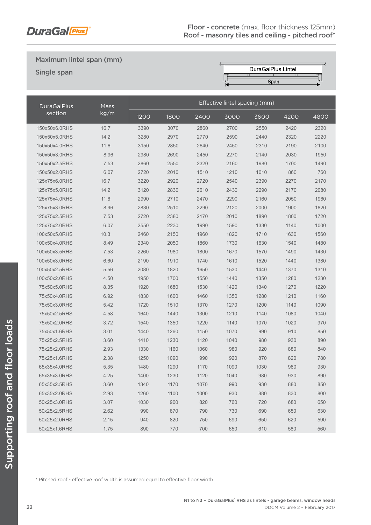

 $\leftarrow$ 

#### Maximum lintel span (mm)

Single span

| DuraGalPlus Lintel |  |
|--------------------|--|
|                    |  |
| Span               |  |

 $\Rightarrow$ 

| <b>DuraGalPlus</b><br>section | <b>Mass</b><br>kg/m | Effective lintel spacing (mm) |      |      |      |      |      |      |
|-------------------------------|---------------------|-------------------------------|------|------|------|------|------|------|
|                               |                     | 1200                          | 1800 | 2400 | 3000 | 3600 | 4200 | 4800 |
| 150x50x6.0RHS                 | 16.7                | 3390                          | 3070 | 2860 | 2700 | 2550 | 2420 | 2320 |
| 150x50x5.0RHS                 | 14.2                | 3280                          | 2970 | 2770 | 2590 | 2440 | 2320 | 2220 |
| 150x50x4.0RHS                 | 11.6                | 3150                          | 2850 | 2640 | 2450 | 2310 | 2190 | 2100 |
| 150x50x3.0RHS                 | 8.96                | 2980                          | 2690 | 2450 | 2270 | 2140 | 2030 | 1950 |
| 150x50x2.5RHS                 | 7.53                | 2860                          | 2550 | 2320 | 2160 | 1980 | 1700 | 1490 |
| 150x50x2.0RHS                 | 6.07                | 2720                          | 2010 | 1510 | 1210 | 1010 | 860  | 760  |
| 125x75x6.0RHS                 | 16.7                | 3220                          | 2920 | 2720 | 2540 | 2390 | 2270 | 2170 |
| 125x75x5.0RHS                 | 14.2                | 3120                          | 2830 | 2610 | 2430 | 2290 | 2170 | 2080 |
| 125x75x4.0RHS                 | 11.6                | 2990                          | 2710 | 2470 | 2290 | 2160 | 2050 | 1960 |
| 125x75x3.0RHS                 | 8.96                | 2830                          | 2510 | 2290 | 2120 | 2000 | 1900 | 1820 |
| 125x75x2.5RHS                 | 7.53                | 2720                          | 2380 | 2170 | 2010 | 1890 | 1800 | 1720 |
| 125x75x2.0RHS                 | 6.07                | 2550                          | 2230 | 1990 | 1590 | 1330 | 1140 | 1000 |
| 100x50x5.0RHS                 | 10.3                | 2460                          | 2150 | 1960 | 1820 | 1710 | 1630 | 1560 |
| 100x50x4.0RHS                 | 8.49                | 2340                          | 2050 | 1860 | 1730 | 1630 | 1540 | 1480 |
| 100x50x3.5RHS                 | 7.53                | 2260                          | 1980 | 1800 | 1670 | 1570 | 1490 | 1430 |
| 100x50x3.0RHS                 | 6.60                | 2190                          | 1910 | 1740 | 1610 | 1520 | 1440 | 1380 |
| 100x50x2.5RHS                 | 5.56                | 2080                          | 1820 | 1650 | 1530 | 1440 | 1370 | 1310 |
| 100x50x2.0RHS                 | 4.50                | 1950                          | 1700 | 1550 | 1440 | 1350 | 1280 | 1230 |
| 75x50x5.0RHS                  | 8.35                | 1920                          | 1680 | 1530 | 1420 | 1340 | 1270 | 1220 |
| 75x50x4.0RHS                  | 6.92                | 1830                          | 1600 | 1460 | 1350 | 1280 | 1210 | 1160 |
| 75x50x3.0RHS                  | 5.42                | 1720                          | 1510 | 1370 | 1270 | 1200 | 1140 | 1090 |
| 75x50x2.5RHS                  | 4.58                | 1640                          | 1440 | 1300 | 1210 | 1140 | 1080 | 1040 |
| 75x50x2.0RHS                  | 3.72                | 1540                          | 1350 | 1220 | 1140 | 1070 | 1020 | 970  |
| 75x50x1.6RHS                  | 3.01                | 1440                          | 1260 | 1150 | 1070 | 990  | 910  | 850  |
| 75x25x2.5RHS                  | 3.60                | 1410                          | 1230 | 1120 | 1040 | 980  | 930  | 890  |
| 75x25x2.0RHS                  | 2.93                | 1330                          | 1160 | 1060 | 980  | 920  | 880  | 840  |
| 75x25x1.6RHS                  | 2.38                | 1250                          | 1090 | 990  | 920  | 870  | 820  | 780  |
| 65x35x4.0RHS                  | 5.35                | 1480                          | 1290 | 1170 | 1090 | 1030 | 980  | 930  |
| 65x35x3.0RHS                  | 4.25                | 1400                          | 1230 | 1120 | 1040 | 980  | 930  | 890  |
| 65x35x2.5RHS                  | 3.60                | 1340                          | 1170 | 1070 | 990  | 930  | 880  | 850  |
| 65x35x2.0RHS                  | 2.93                | 1260                          | 1100 | 1000 | 930  | 880  | 830  | 800  |
| 50x25x3.0RHS                  | 3.07                | 1030                          | 900  | 820  | 760  | 720  | 680  | 650  |
| 50x25x2.5RHS                  | 2.62                | 990                           | 870  | 790  | 730  | 690  | 650  | 630  |
| 50x25x2.0RHS                  | 2.15                | 940                           | 820  | 750  | 690  | 650  | 620  | 590  |
| 50x25x1.6RHS                  | 1.75                | 890                           | 770  | 700  | 650  | 610  | 580  | 560  |

\* Pitched roof - effective roof width is assumed equal to effective floor width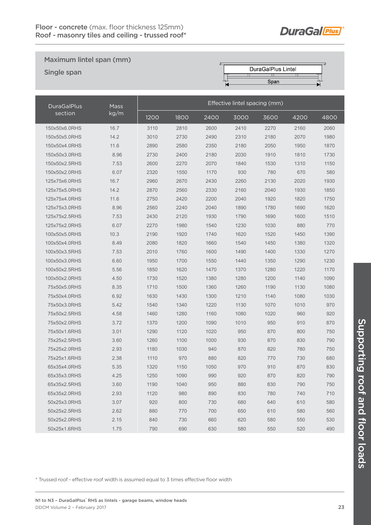

⇉

Maximum lintel span (mm)

Single span

| <b>DuraGalPlus Lintel</b> |
|---------------------------|
|                           |
| Span                      |

 $\uparrow$ 

| <b>DuraGalPlus</b> | <b>Mass</b><br>kg/m | Effective lintel spacing (mm) |      |      |      |      |      |      |
|--------------------|---------------------|-------------------------------|------|------|------|------|------|------|
| section            |                     | 1200                          | 1800 | 2400 | 3000 | 3600 | 4200 | 4800 |
| 150x50x6.0RHS      | 16.7                | 3110                          | 2810 | 2600 | 2410 | 2270 | 2160 | 2060 |
| 150x50x5.0RHS      | 14.2                | 3010                          | 2730 | 2490 | 2310 | 2180 | 2070 | 1980 |
| 150x50x4.0RHS      | 11.6                | 2890                          | 2580 | 2350 | 2180 | 2050 | 1950 | 1870 |
| 150x50x3.0RHS      | 8.96                | 2730                          | 2400 | 2180 | 2030 | 1910 | 1810 | 1730 |
| 150x50x2.5RHS      | 7.53                | 2600                          | 2270 | 2070 | 1840 | 1530 | 1310 | 1150 |
| 150x50x2.0RHS      | 6.07                | 2320                          | 1550 | 1170 | 930  | 780  | 670  | 580  |
| 125x75x6.0RHS      | 16.7                | 2960                          | 2670 | 2430 | 2260 | 2130 | 2020 | 1930 |
| 125x75x5.0RHS      | 14.2                | 2870                          | 2560 | 2330 | 2160 | 2040 | 1930 | 1850 |
| 125x75x4.0RHS      | 11.6                | 2750                          | 2420 | 2200 | 2040 | 1920 | 1820 | 1750 |
| 125x75x3.0RHS      | 8.96                | 2560                          | 2240 | 2040 | 1890 | 1780 | 1690 | 1620 |
| 125x75x2.5RHS      | 7.53                | 2430                          | 2120 | 1930 | 1790 | 1690 | 1600 | 1510 |
| 125x75x2.0RHS      | 6.07                | 2270                          | 1980 | 1540 | 1230 | 1030 | 880  | 770  |
| 100x50x5.0RHS      | 10.3                | 2190                          | 1920 | 1740 | 1620 | 1520 | 1450 | 1390 |
| 100x50x4.0RHS      | 8.49                | 2080                          | 1820 | 1660 | 1540 | 1450 | 1380 | 1320 |
| 100x50x3.5RHS      | 7.53                | 2010                          | 1760 | 1600 | 1490 | 1400 | 1330 | 1270 |
| 100x50x3.0RHS      | 6.60                | 1950                          | 1700 | 1550 | 1440 | 1350 | 1290 | 1230 |
| 100x50x2.5RHS      | 5.56                | 1850                          | 1620 | 1470 | 1370 | 1280 | 1220 | 1170 |
| 100x50x2.0RHS      | 4.50                | 1730                          | 1520 | 1380 | 1280 | 1200 | 1140 | 1090 |
| 75x50x5.0RHS       | 8.35                | 1710                          | 1500 | 1360 | 1260 | 1190 | 1130 | 1080 |
| 75x50x4.0RHS       | 6.92                | 1630                          | 1430 | 1300 | 1210 | 1140 | 1080 | 1030 |
| 75x50x3.0RHS       | 5.42                | 1540                          | 1340 | 1220 | 1130 | 1070 | 1010 | 970  |
| 75x50x2.5RHS       | 4.58                | 1460                          | 1280 | 1160 | 1080 | 1020 | 960  | 920  |
| 75x50x2.0RHS       | 3.72                | 1370                          | 1200 | 1090 | 1010 | 950  | 910  | 870  |
| 75x50x1.6RHS       | 3.01                | 1290                          | 1120 | 1020 | 950  | 870  | 800  | 750  |
| 75x25x2.5RHS       | 3.60                | 1260                          | 1100 | 1000 | 930  | 870  | 830  | 790  |
| 75x25x2.0RHS       | 2.93                | 1180                          | 1030 | 940  | 870  | 820  | 780  | 750  |
| 75x25x1.6RHS       | 2.38                | 1110                          | 970  | 880  | 820  | 770  | 730  | 680  |
| 65x35x4.0RHS       | 5.35                | 1320                          | 1150 | 1050 | 970  | 910  | 870  | 830  |
| 65x35x3.0RHS       | 4.25                | 1250                          | 1090 | 990  | 920  | 870  | 820  | 790  |
| 65x35x2.5RHS       | 3.60                | 1190                          | 1040 | 950  | 880  | 830  | 790  | 750  |
| 65x35x2.0RHS       | 2.93                | 1120                          | 980  | 890  | 830  | 780  | 740  | 710  |
| 50x25x3.0RHS       | 3.07                | 920                           | 800  | 730  | 680  | 640  | 610  | 580  |
| 50x25x2.5RHS       | 2.62                | 880                           | 770  | 700  | 650  | 610  | 580  | 560  |
| 50x25x2.0RHS       | 2.15                | 840                           | 730  | 660  | 620  | 580  | 550  | 530  |
| 50x25x1.6RHS       | 1.75                | 790                           | 690  | 630  | 580  | 550  | 520  | 490  |

\* Trussed roof - effective roof width is assumed equal to 3 times effective floor width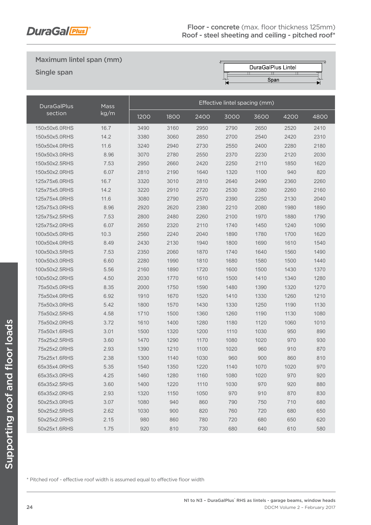

Single span

DuraGalPlus Lintel <u>п п</u><br>Span  $\blacksquare$ 

| <b>DuraGalPlus</b> | <b>Mass</b><br>kg/m | Effective lintel spacing (mm) |      |      |      |      |      |      |
|--------------------|---------------------|-------------------------------|------|------|------|------|------|------|
| section            |                     | 1200                          | 1800 | 2400 | 3000 | 3600 | 4200 | 4800 |
| 150x50x6.0RHS      | 16.7                | 3490                          | 3160 | 2950 | 2790 | 2650 | 2520 | 2410 |
| 150x50x5.0RHS      | 14.2                | 3380                          | 3060 | 2850 | 2700 | 2540 | 2420 | 2310 |
| 150x50x4.0RHS      | 11.6                | 3240                          | 2940 | 2730 | 2550 | 2400 | 2280 | 2180 |
| 150x50x3.0RHS      | 8.96                | 3070                          | 2780 | 2550 | 2370 | 2230 | 2120 | 2030 |
| 150x50x2.5RHS      | 7.53                | 2950                          | 2660 | 2420 | 2250 | 2110 | 1850 | 1620 |
| 150x50x2.0RHS      | 6.07                | 2810                          | 2190 | 1640 | 1320 | 1100 | 940  | 820  |
| 125x75x6.0RHS      | 16.7                | 3320                          | 3010 | 2810 | 2640 | 2490 | 2360 | 2260 |
| 125x75x5.0RHS      | 14.2                | 3220                          | 2910 | 2720 | 2530 | 2380 | 2260 | 2160 |
| 125x75x4.0RHS      | 11.6                | 3080                          | 2790 | 2570 | 2390 | 2250 | 2130 | 2040 |
| 125x75x3.0RHS      | 8.96                | 2920                          | 2620 | 2380 | 2210 | 2080 | 1980 | 1890 |
| 125x75x2.5RHS      | 7.53                | 2800                          | 2480 | 2260 | 2100 | 1970 | 1880 | 1790 |
| 125x75x2.0RHS      | 6.07                | 2650                          | 2320 | 2110 | 1740 | 1450 | 1240 | 1090 |
| 100x50x5.0RHS      | 10.3                | 2560                          | 2240 | 2040 | 1890 | 1780 | 1700 | 1620 |
| 100x50x4.0RHS      | 8.49                | 2430                          | 2130 | 1940 | 1800 | 1690 | 1610 | 1540 |
| 100x50x3.5RHS      | 7.53                | 2350                          | 2060 | 1870 | 1740 | 1640 | 1560 | 1490 |
| 100x50x3.0RHS      | 6.60                | 2280                          | 1990 | 1810 | 1680 | 1580 | 1500 | 1440 |
| 100x50x2.5RHS      | 5.56                | 2160                          | 1890 | 1720 | 1600 | 1500 | 1430 | 1370 |
| 100x50x2.0RHS      | 4.50                | 2030                          | 1770 | 1610 | 1500 | 1410 | 1340 | 1280 |
| 75x50x5.0RHS       | 8.35                | 2000                          | 1750 | 1590 | 1480 | 1390 | 1320 | 1270 |
| 75x50x4.0RHS       | 6.92                | 1910                          | 1670 | 1520 | 1410 | 1330 | 1260 | 1210 |
| 75x50x3.0RHS       | 5.42                | 1800                          | 1570 | 1430 | 1330 | 1250 | 1190 | 1130 |
| 75x50x2.5RHS       | 4.58                | 1710                          | 1500 | 1360 | 1260 | 1190 | 1130 | 1080 |
| 75x50x2.0RHS       | 3.72                | 1610                          | 1400 | 1280 | 1180 | 1120 | 1060 | 1010 |
| 75x50x1.6RHS       | 3.01                | 1500                          | 1320 | 1200 | 1110 | 1030 | 950  | 890  |
| 75x25x2.5RHS       | 3.60                | 1470                          | 1290 | 1170 | 1080 | 1020 | 970  | 930  |
| 75x25x2.0RHS       | 2.93                | 1390                          | 1210 | 1100 | 1020 | 960  | 910  | 870  |
| 75x25x1.6RHS       | 2.38                | 1300                          | 1140 | 1030 | 960  | 900  | 860  | 810  |
| 65x35x4.0RHS       | 5.35                | 1540                          | 1350 | 1220 | 1140 | 1070 | 1020 | 970  |
| 65x35x3.0RHS       | 4.25                | 1460                          | 1280 | 1160 | 1080 | 1020 | 970  | 920  |
| 65x35x2.5RHS       | 3.60                | 1400                          | 1220 | 1110 | 1030 | 970  | 920  | 880  |
| 65x35x2.0RHS       | 2.93                | 1320                          | 1150 | 1050 | 970  | 910  | 870  | 830  |
| 50x25x3.0RHS       | 3.07                | 1080                          | 940  | 860  | 790  | 750  | 710  | 680  |
| 50x25x2.5RHS       | 2.62                | 1030                          | 900  | 820  | 760  | 720  | 680  | 650  |
| 50x25x2.0RHS       | 2.15                | 980                           | 860  | 780  | 720  | 680  | 650  | 620  |
| 50x25x1.6RHS       | 1.75                | 920                           | 810  | 730  | 680  | 640  | 610  | 580  |

\* Pitched roof - effective roof width is assumed equal to effective floor width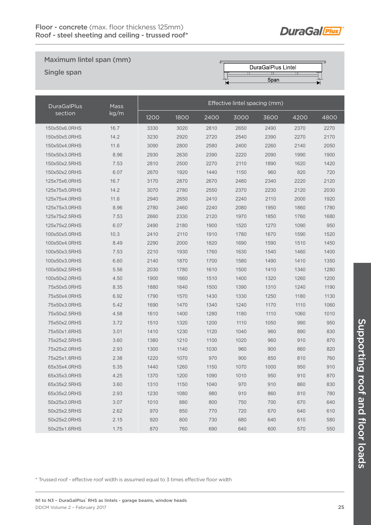

Single span

| DuraGalPlus Lintel |
|--------------------|
|                    |
| Span               |
|                    |

| <b>DuraGalPlus</b> | <b>Mass</b><br>kg/m | Effective lintel spacing (mm) |      |      |      |      |      |      |
|--------------------|---------------------|-------------------------------|------|------|------|------|------|------|
| section            |                     | 1200                          | 1800 | 2400 | 3000 | 3600 | 4200 | 4800 |
| 150x50x6.0RHS      | 16.7                | 3330                          | 3020 | 2810 | 2650 | 2490 | 2370 | 2270 |
| 150x50x5.0RHS      | 14.2                | 3230                          | 2920 | 2720 | 2540 | 2390 | 2270 | 2170 |
| 150x50x4.0RHS      | 11.6                | 3090                          | 2800 | 2580 | 2400 | 2260 | 2140 | 2050 |
| 150x50x3.0RHS      | 8.96                | 2930                          | 2630 | 2390 | 2220 | 2090 | 1990 | 1900 |
| 150x50x2.5RHS      | 7.53                | 2810                          | 2500 | 2270 | 2110 | 1890 | 1620 | 1420 |
| 150x50x2.0RHS      | 6.07                | 2670                          | 1920 | 1440 | 1150 | 960  | 820  | 720  |
| 125x75x6.0RHS      | 16.7                | 3170                          | 2870 | 2670 | 2480 | 2340 | 2220 | 2120 |
| 125x75x5.0RHS      | 14.2                | 3070                          | 2780 | 2550 | 2370 | 2230 | 2120 | 2030 |
| 125x75x4.0RHS      | 11.6                | 2940                          | 2650 | 2410 | 2240 | 2110 | 2000 | 1920 |
| 125x75x3.0RHS      | 8.96                | 2780                          | 2460 | 2240 | 2080 | 1950 | 1860 | 1780 |
| 125x75x2.5RHS      | 7.53                | 2660                          | 2330 | 2120 | 1970 | 1850 | 1760 | 1680 |
| 125x75x2.0RHS      | 6.07                | 2490                          | 2180 | 1900 | 1520 | 1270 | 1090 | 950  |
| 100x50x5.0RHS      | 10.3                | 2410                          | 2110 | 1910 | 1780 | 1670 | 1590 | 1520 |
| 100x50x4.0RHS      | 8.49                | 2290                          | 2000 | 1820 | 1690 | 1590 | 1510 | 1450 |
| 100x50x3.5RHS      | 7.53                | 2210                          | 1930 | 1760 | 1630 | 1540 | 1460 | 1400 |
| 100x50x3.0RHS      | 6.60                | 2140                          | 1870 | 1700 | 1580 | 1490 | 1410 | 1350 |
| 100x50x2.5RHS      | 5.56                | 2030                          | 1780 | 1610 | 1500 | 1410 | 1340 | 1280 |
| 100x50x2.0RHS      | 4.50                | 1900                          | 1660 | 1510 | 1400 | 1320 | 1260 | 1200 |
| 75x50x5.0RHS       | 8.35                | 1880                          | 1640 | 1500 | 1390 | 1310 | 1240 | 1190 |
| 75x50x4.0RHS       | 6.92                | 1790                          | 1570 | 1430 | 1330 | 1250 | 1180 | 1130 |
| 75x50x3.0RHS       | 5.42                | 1690                          | 1470 | 1340 | 1240 | 1170 | 1110 | 1060 |
| 75x50x2.5RHS       | 4.58                | 1610                          | 1400 | 1280 | 1180 | 1110 | 1060 | 1010 |
| 75x50x2.0RHS       | 3.72                | 1510                          | 1320 | 1200 | 1110 | 1050 | 990  | 950  |
| 75x50x1.6RHS       | 3.01                | 1410                          | 1230 | 1120 | 1040 | 960  | 890  | 830  |
| 75x25x2.5RHS       | 3.60                | 1380                          | 1210 | 1100 | 1020 | 960  | 910  | 870  |
| 75x25x2.0RHS       | 2.93                | 1300                          | 1140 | 1030 | 960  | 900  | 860  | 820  |
| 75x25x1.6RHS       | 2.38                | 1220                          | 1070 | 970  | 900  | 850  | 810  | 760  |
| 65x35x4.0RHS       | 5.35                | 1440                          | 1260 | 1150 | 1070 | 1000 | 950  | 910  |
| 65x35x3.0RHS       | 4.25                | 1370                          | 1200 | 1090 | 1010 | 950  | 910  | 870  |
| 65x35x2.5RHS       | 3.60                | 1310                          | 1150 | 1040 | 970  | 910  | 860  | 830  |
| 65x35x2.0RHS       | 2.93                | 1230                          | 1080 | 980  | 910  | 860  | 810  | 780  |
| 50x25x3.0RHS       | 3.07                | 1010                          | 880  | 800  | 750  | 700  | 670  | 640  |
| 50x25x2.5RHS       | 2.62                | 970                           | 850  | 770  | 720  | 670  | 640  | 610  |
| 50x25x2.0RHS       | 2.15                | 920                           | 800  | 730  | 680  | 640  | 610  | 580  |
| 50x25x1.6RHS       | 1.75                | 870                           | 760  | 690  | 640  | 600  | 570  | 550  |

\* Trussed roof - effective roof width is assumed equal to 3 times effective floor width